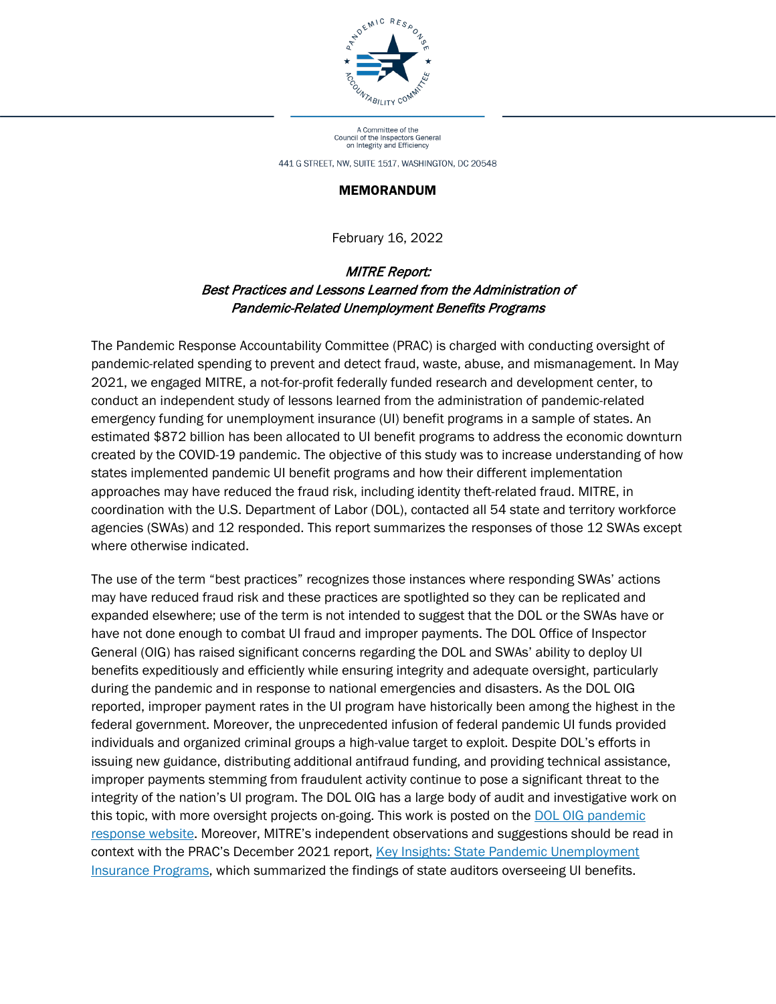

A Committee of the<br>Council of the Inspectors General<br>on Integrity and Efficiency

441 G STREET, NW, SUITE 1517, WASHINGTON, DC 20548

#### MEMORANDUM

February 16, 2022

#### MITRE Report: Best Practices and Lessons Learned from the Administration of Pandemic-Related Unemployment Benefits Programs

The Pandemic Response Accountability Committee (PRAC) is charged with conducting oversight of pandemic-related spending to prevent and detect fraud, waste, abuse, and mismanagement. In May 2021, we engaged MITRE, a not-for-profit federally funded research and development center, to conduct an independent study of lessons learned from the administration of pandemic-related emergency funding for unemployment insurance (UI) benefit programs in a sample of states. An estimated \$872 billion has been allocated to UI benefit programs to address the economic downturn created by the COVID-19 pandemic. The objective of this study was to increase understanding of how states implemented pandemic UI benefit programs and how their different implementation approaches may have reduced the fraud risk, including identity theft-related fraud. MITRE, in coordination with the U.S. Department of Labor (DOL), contacted all 54 state and territory workforce agencies (SWAs) and 12 responded. This report summarizes the responses of those 12 SWAs except where otherwise indicated.

The use of the term "best practices" recognizes those instances where responding SWAs' actions may have reduced fraud risk and these practices are spotlighted so they can be replicated and expanded elsewhere; use of the term is not intended to suggest that the DOL or the SWAs have or have not done enough to combat UI fraud and improper payments. The DOL Office of Inspector General (OIG) has raised significant concerns regarding the DOL and SWAs' ability to deploy UI benefits expeditiously and efficiently while ensuring integrity and adequate oversight, particularly during the pandemic and in response to national emergencies and disasters. As the DOL OIG reported, improper payment rates in the UI program have historically been among the highest in the federal government. Moreover, the unprecedented infusion of federal pandemic UI funds provided individuals and organized criminal groups a high-value target to exploit. Despite DOL's efforts in issuing new guidance, distributing additional antifraud funding, and providing technical assistance, improper payments stemming from fraudulent activity continue to pose a significant threat to the integrity of the nation's UI program. The DOL OIG has a large body of audit and investigative work on this topic, with more oversight projects on-going. This work is posted on the DOL OIG pandemic [response website.](https://www.oig.dol.gov/OIG_Pandemic_Response_Portal.htm) Moreover, MITRE's independent observations and suggestions should be read in context with the PRAC's December 2021 report, [Key Insights: State Pandemic Unemployment](https://www.pandemicoversight.gov/media/file/state-unemployment-insurance-capping-report)  [Insurance Programs,](https://www.pandemicoversight.gov/media/file/state-unemployment-insurance-capping-report) which summarized the findings of state auditors overseeing UI benefits.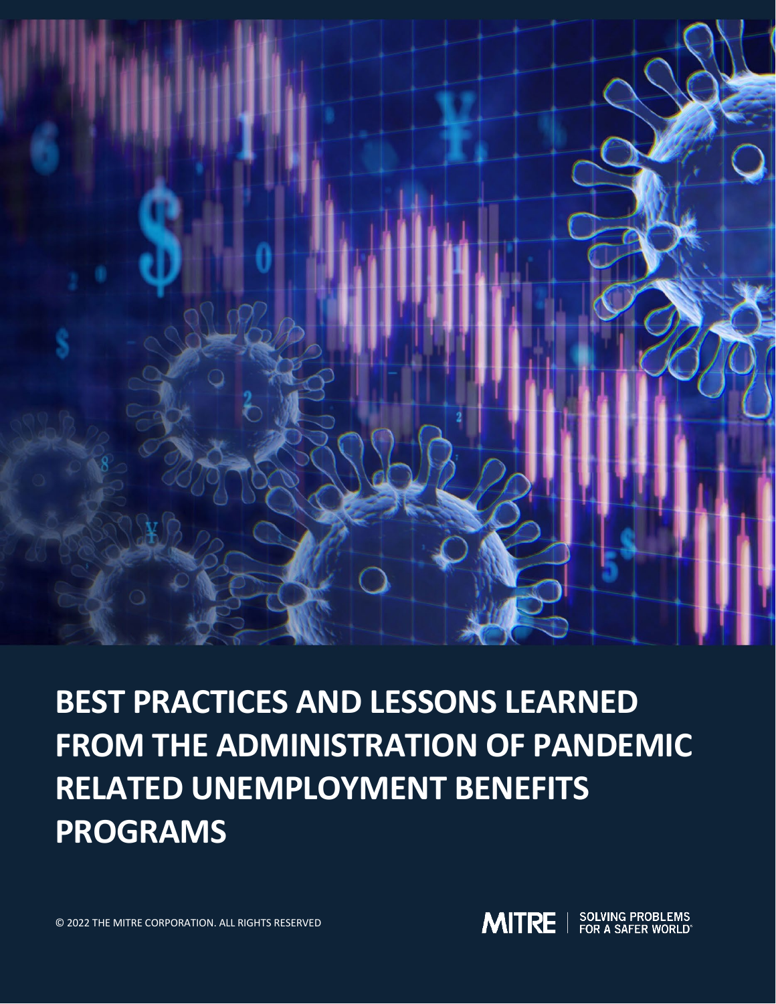

# **BEST PRACTICES AND LESSONS LEARNED FROM THE ADMINISTRATION OF PANDEMIC RELATED UNEMPLOYMENT BENEFITS PROGRAMS**

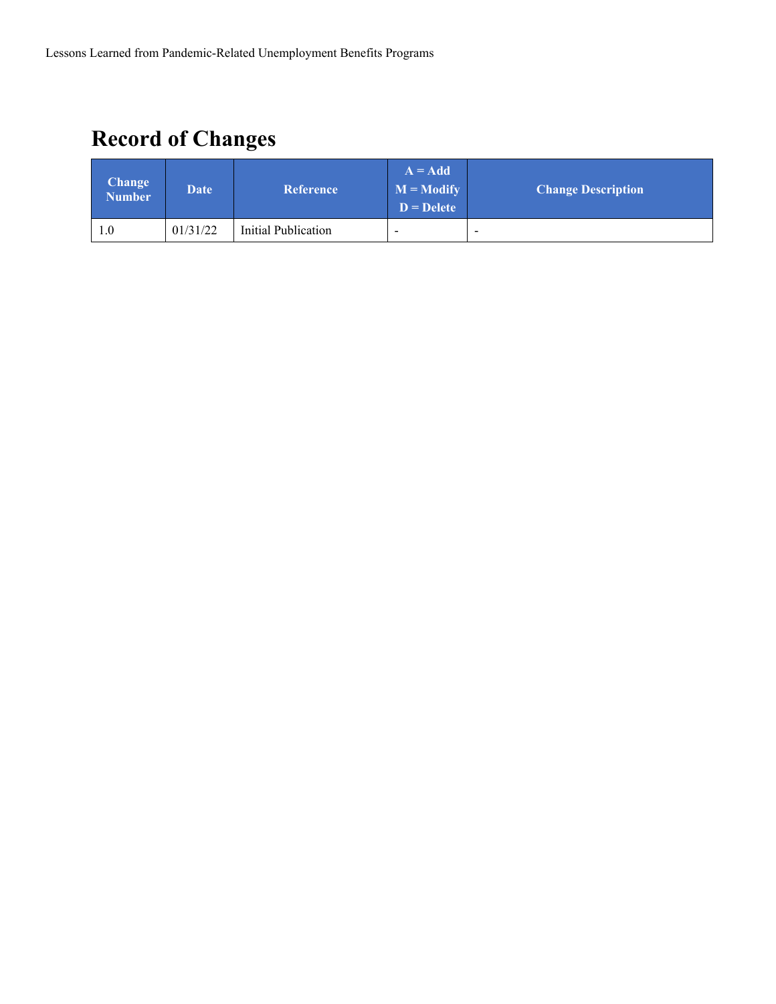# **Record of Changes**

| <b>Change</b><br><b>Number</b> | <b>Date</b> | <b>Reference</b>    | $A = Add$<br>$M = Modify$<br>$D = Delete$ | <b>Change Description</b> |
|--------------------------------|-------------|---------------------|-------------------------------------------|---------------------------|
| 1.0                            | 01/31/22    | Initial Publication | $\overline{\phantom{a}}$                  | $\overline{\phantom{a}}$  |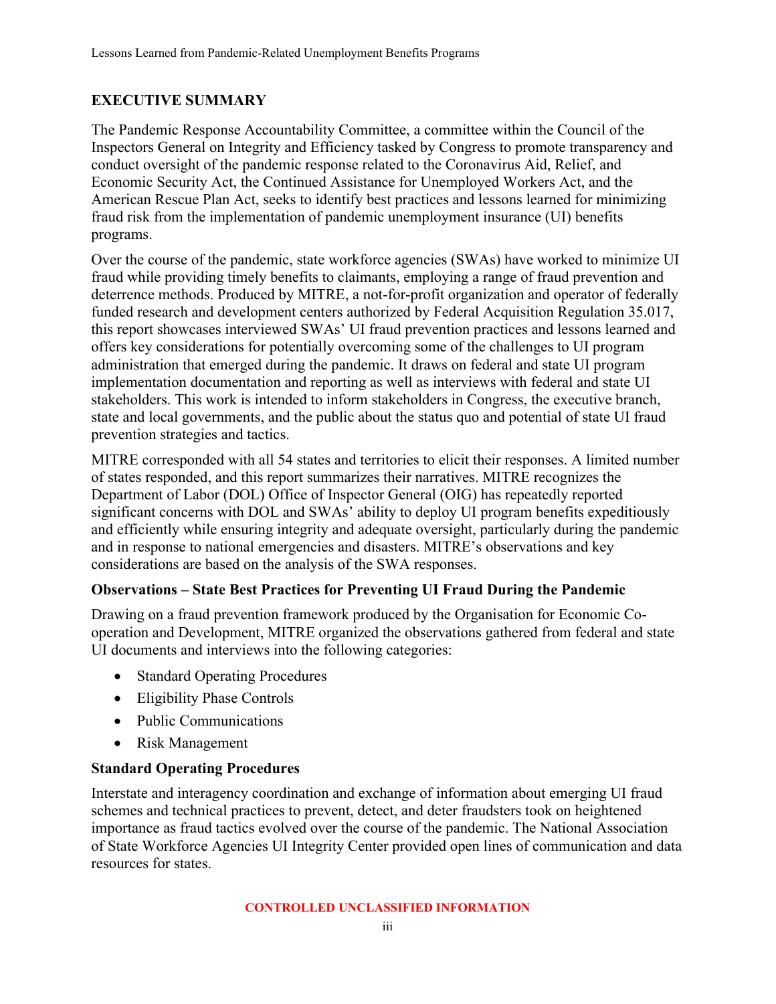# <span id="page-3-0"></span>**EXECUTIVE SUMMARY**

The Pandemic Response Accountability Committee, a committee within the Council of the Inspectors General on Integrity and Efficiency tasked by Congress to promote transparency and conduct oversight of the pandemic response related to the Coronavirus Aid, Relief, and Economic Security Act, the Continued Assistance for Unemployed Workers Act, and the American Rescue Plan Act, seeks to identify best practices and lessons learned for minimizing fraud risk from the implementation of pandemic unemployment insurance (UI) benefits programs.

Over the course of the pandemic, state workforce agencies (SWAs) have worked to minimize UI fraud while providing timely benefits to claimants, employing a range of fraud prevention and deterrence methods. Produced by MITRE, a not-for-profit organization and operator of federally funded research and development centers authorized by Federal Acquisition Regulation 35.017, this report showcases interviewed SWAs' UI fraud prevention practices and lessons learned and offers key considerations for potentially overcoming some of the challenges to UI program administration that emerged during the pandemic. It draws on federal and state UI program implementation documentation and reporting as well as interviews with federal and state UI stakeholders. This work is intended to inform stakeholders in Congress, the executive branch, state and local governments, and the public about the status quo and potential of state UI fraud prevention strategies and tactics.

MITRE corresponded with all 54 states and territories to elicit their responses. A limited number of states responded, and this report summarizes their narratives. MITRE recognizes the Department of Labor (DOL) Office of Inspector General (OIG) has repeatedly reported significant concerns with DOL and SWAs' ability to deploy UI program benefits expeditiously and efficiently while ensuring integrity and adequate oversight, particularly during the pandemic and in response to national emergencies and disasters. MITRE's observations and key considerations are based on the analysis of the SWA responses.

### **Observations – State Best Practices for Preventing UI Fraud During the Pandemic**

Drawing on a fraud prevention framework produced by the Organisation for Economic Cooperation and Development, MITRE organized the observations gathered from federal and state UI documents and interviews into the following categories:

- Standard Operating Procedures
- Eligibility Phase Controls
- Public Communications
- Risk Management

#### **Standard Operating Procedures**

Interstate and interagency coordination and exchange of information about emerging UI fraud schemes and technical practices to prevent, detect, and deter fraudsters took on heightened importance as fraud tactics evolved over the course of the pandemic. The National Association of State Workforce Agencies UI Integrity Center provided open lines of communication and data resources for states.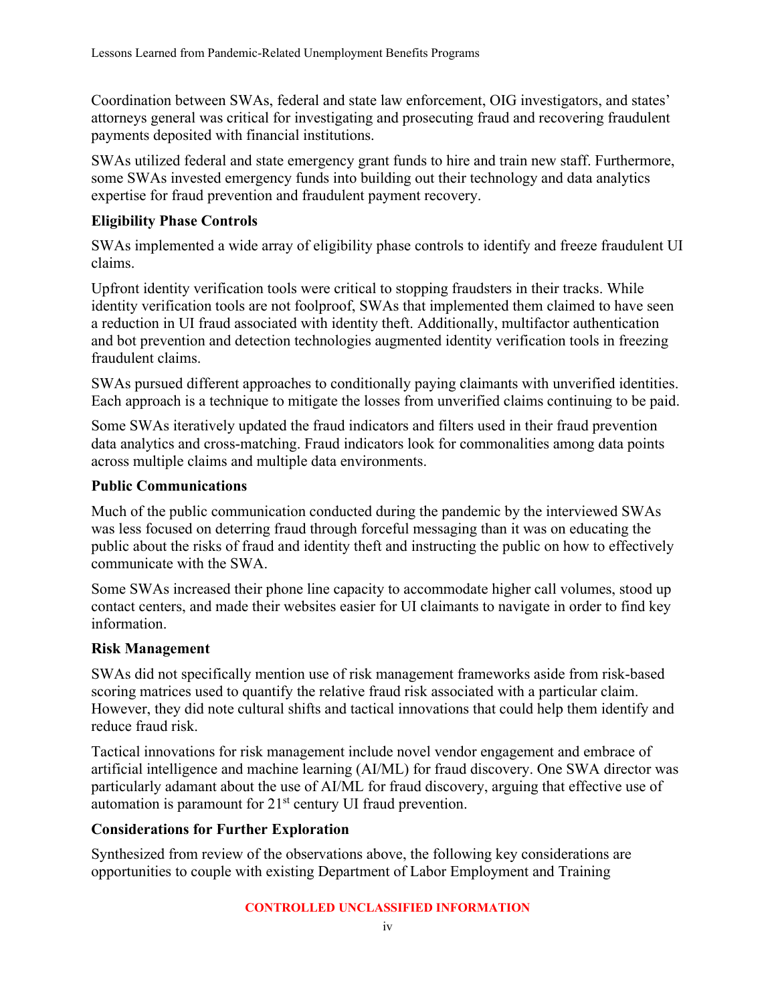Coordination between SWAs, federal and state law enforcement, OIG investigators, and states' attorneys general was critical for investigating and prosecuting fraud and recovering fraudulent payments deposited with financial institutions.

SWAs utilized federal and state emergency grant funds to hire and train new staff. Furthermore, some SWAs invested emergency funds into building out their technology and data analytics expertise for fraud prevention and fraudulent payment recovery.

#### **Eligibility Phase Controls**

SWAs implemented a wide array of eligibility phase controls to identify and freeze fraudulent UI claims.

Upfront identity verification tools were critical to stopping fraudsters in their tracks. While identity verification tools are not foolproof, SWAs that implemented them claimed to have seen a reduction in UI fraud associated with identity theft. Additionally, multifactor authentication and bot prevention and detection technologies augmented identity verification tools in freezing fraudulent claims.

SWAs pursued different approaches to conditionally paying claimants with unverified identities. Each approach is a technique to mitigate the losses from unverified claims continuing to be paid.

Some SWAs iteratively updated the fraud indicators and filters used in their fraud prevention data analytics and cross-matching. Fraud indicators look for commonalities among data points across multiple claims and multiple data environments.

#### **Public Communications**

Much of the public communication conducted during the pandemic by the interviewed SWAs was less focused on deterring fraud through forceful messaging than it was on educating the public about the risks of fraud and identity theft and instructing the public on how to effectively communicate with the SWA.

Some SWAs increased their phone line capacity to accommodate higher call volumes, stood up contact centers, and made their websites easier for UI claimants to navigate in order to find key information.

#### **Risk Management**

SWAs did not specifically mention use of risk management frameworks aside from risk-based scoring matrices used to quantify the relative fraud risk associated with a particular claim. However, they did note cultural shifts and tactical innovations that could help them identify and reduce fraud risk.

Tactical innovations for risk management include novel vendor engagement and embrace of artificial intelligence and machine learning (AI/ML) for fraud discovery. One SWA director was particularly adamant about the use of AI/ML for fraud discovery, arguing that effective use of automation is paramount for 21<sup>st</sup> century UI fraud prevention.

#### **Considerations for Further Exploration**

Synthesized from review of the observations above, the following key considerations are opportunities to couple with existing Department of Labor Employment and Training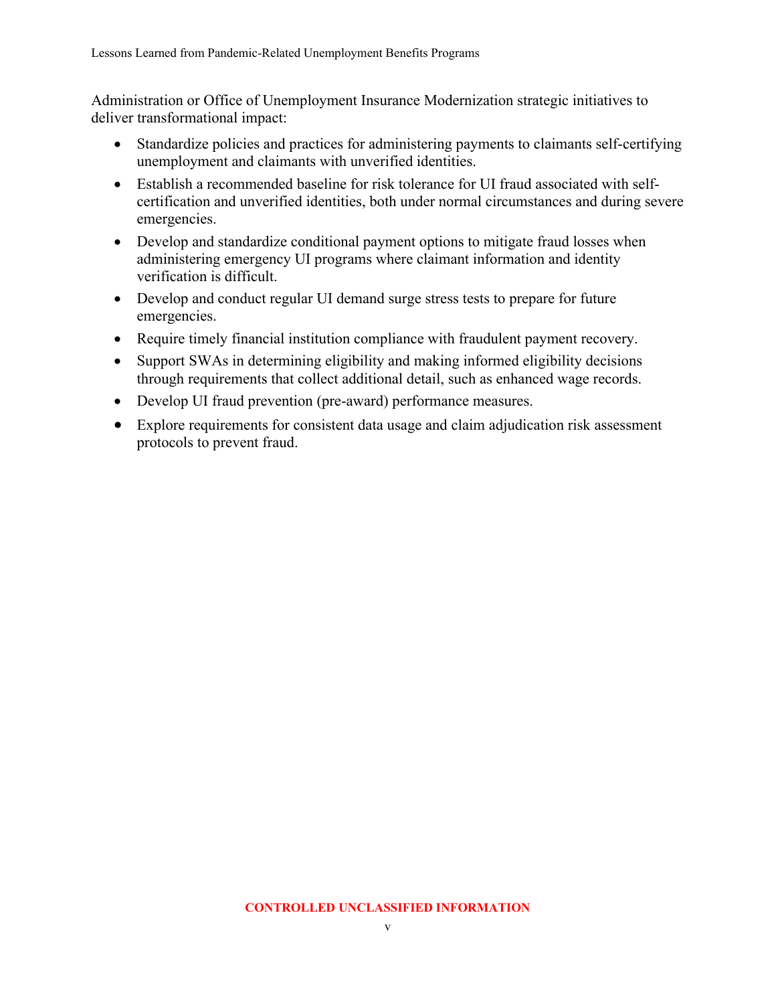Administration or Office of Unemployment Insurance Modernization strategic initiatives to deliver transformational impact:

- Standardize policies and practices for administering payments to claimants self-certifying unemployment and claimants with unverified identities.
- Establish a recommended baseline for risk tolerance for UI fraud associated with selfcertification and unverified identities, both under normal circumstances and during severe emergencies.
- Develop and standardize conditional payment options to mitigate fraud losses when administering emergency UI programs where claimant information and identity verification is difficult.
- Develop and conduct regular UI demand surge stress tests to prepare for future emergencies.
- Require timely financial institution compliance with fraudulent payment recovery.
- Support SWAs in determining eligibility and making informed eligibility decisions through requirements that collect additional detail, such as enhanced wage records.
- Develop UI fraud prevention (pre-award) performance measures.
- Explore requirements for consistent data usage and claim adjudication risk assessment protocols to prevent fraud.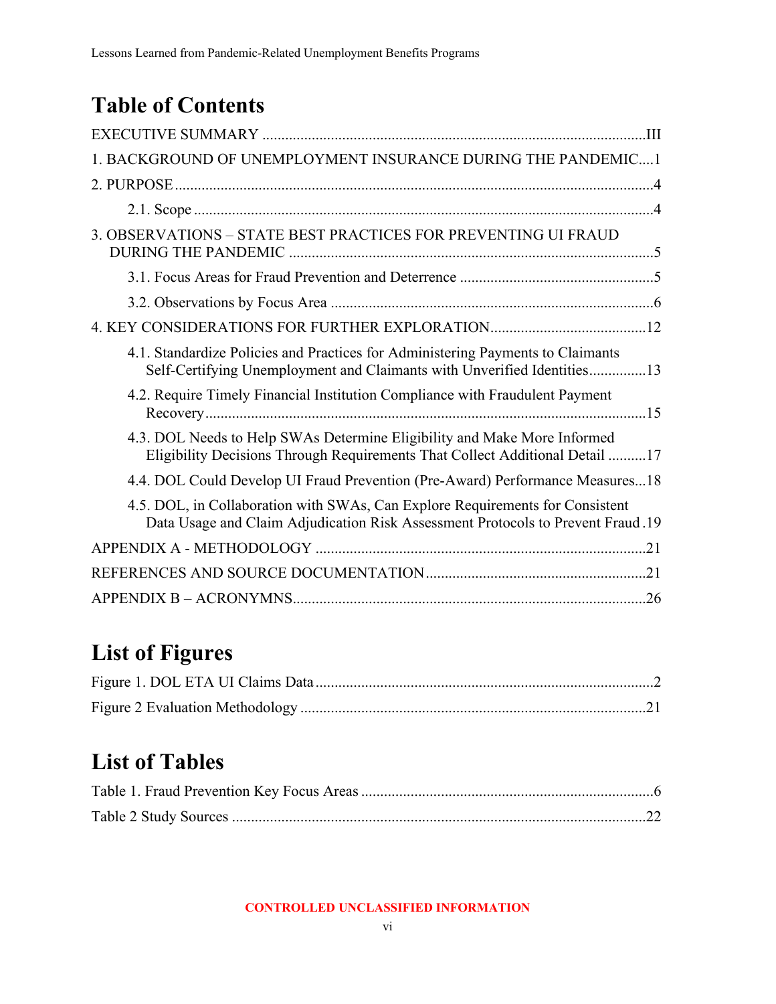# **Table of Contents**

| 1. BACKGROUND OF UNEMPLOYMENT INSURANCE DURING THE PANDEMIC 1                                                                                                    |
|------------------------------------------------------------------------------------------------------------------------------------------------------------------|
|                                                                                                                                                                  |
|                                                                                                                                                                  |
| 3. OBSERVATIONS - STATE BEST PRACTICES FOR PREVENTING UI FRAUD                                                                                                   |
|                                                                                                                                                                  |
|                                                                                                                                                                  |
|                                                                                                                                                                  |
| 4.1. Standardize Policies and Practices for Administering Payments to Claimants<br>Self-Certifying Unemployment and Claimants with Unverified Identities13       |
| 4.2. Require Timely Financial Institution Compliance with Fraudulent Payment                                                                                     |
| 4.3. DOL Needs to Help SWAs Determine Eligibility and Make More Informed<br>Eligibility Decisions Through Requirements That Collect Additional Detail 17         |
| 4.4. DOL Could Develop UI Fraud Prevention (Pre-Award) Performance Measures18                                                                                    |
| 4.5. DOL, in Collaboration with SWAs, Can Explore Requirements for Consistent<br>Data Usage and Claim Adjudication Risk Assessment Protocols to Prevent Fraud.19 |
|                                                                                                                                                                  |
|                                                                                                                                                                  |
|                                                                                                                                                                  |

# **List of Figures**

# **List of Tables**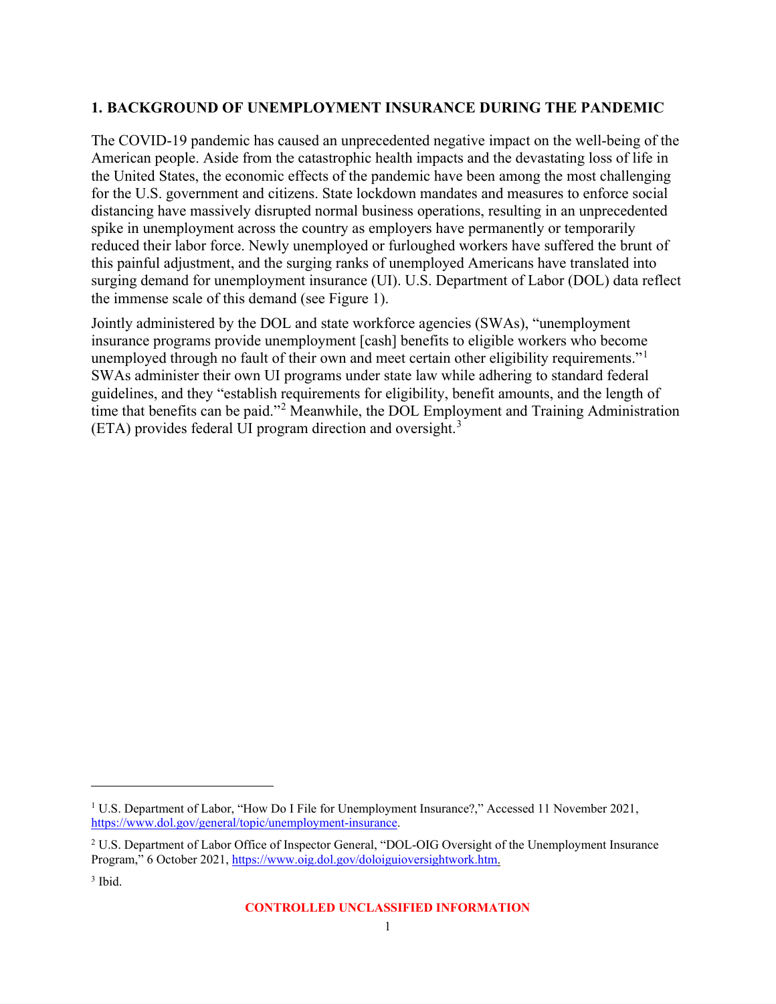#### <span id="page-7-0"></span>**1. BACKGROUND OF UNEMPLOYMENT INSURANCE DURING THE PANDEMIC**

The COVID-19 pandemic has caused an unprecedented negative impact on the well-being of the American people. Aside from the catastrophic health impacts and the devastating loss of life in the United States, the economic effects of the pandemic have been among the most challenging for the U.S. government and citizens. State lockdown mandates and measures to enforce social distancing have massively disrupted normal business operations, resulting in an unprecedented spike in unemployment across the country as employers have permanently or temporarily reduced their labor force. Newly unemployed or furloughed workers have suffered the brunt of this painful adjustment, and the surging ranks of unemployed Americans have translated into surging demand for unemployment insurance (UI). U.S. Department of Labor (DOL) data reflect the immense scale of this demand (see Figure 1).

Jointly administered by the DOL and state workforce agencies (SWAs), "unemployment insurance programs provide unemployment [cash] benefits to eligible workers who become unemployed through no fault of their own and meet certain other eligibility requirements."<sup>[1](#page-7-1)</sup> SWAs administer their own UI programs under state law while adhering to standard federal guidelines, and they "establish requirements for eligibility, benefit amounts, and the length of time that benefits can be paid."<sup>[2](#page-7-2)</sup> Meanwhile, the DOL Employment and Training Administration (ETA) provides federal UI program direction and oversight.[3](#page-7-3)

<span id="page-7-1"></span><sup>&</sup>lt;sup>1</sup> U.S. Department of Labor, "How Do I File for Unemployment Insurance?," Accessed 11 November 2021, [https://www.dol.gov/general/topic/unemployment-insurance.](https://www.dol.gov/general/topic/unemployment-insurance)

<span id="page-7-2"></span><sup>2</sup> U.S. Department of Labor Office of Inspector General, "DOL-OIG Oversight of the Unemployment Insurance Program," 6 October 2021, [https://www.oig.dol.gov/doloiguioversightwork.htm.](https://www.oig.dol.gov/doloiguioversightwork.htm)

<span id="page-7-3"></span> $3$  Ibid.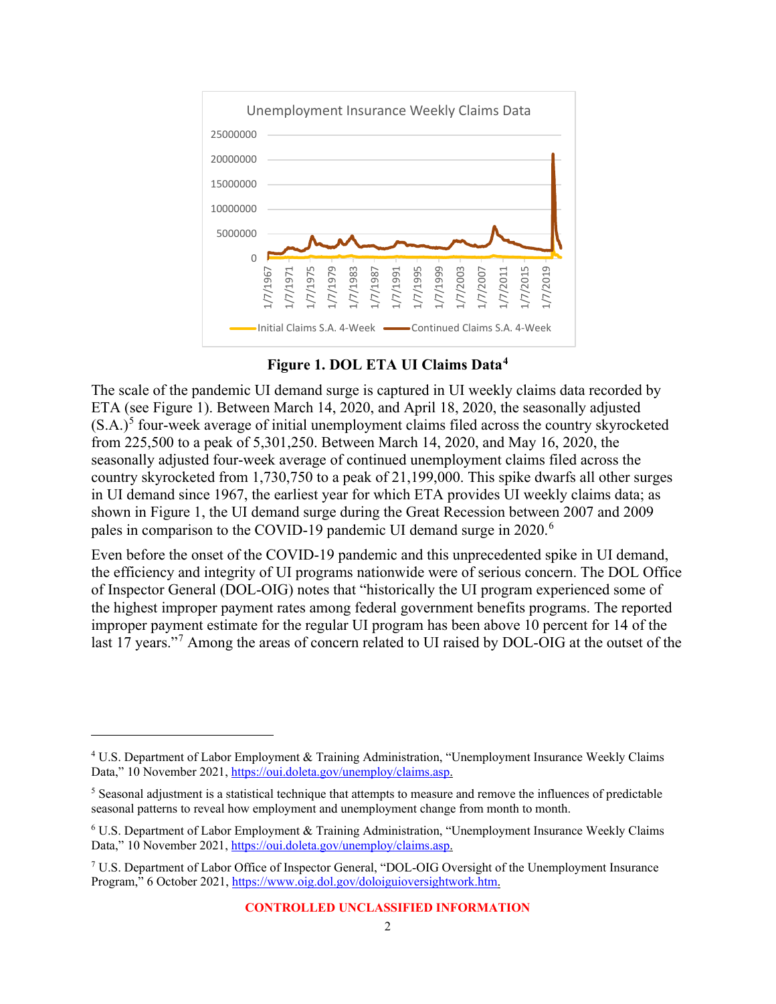

**Figure 1. DOL ETA UI Claims Data[4](#page-8-1)**

<span id="page-8-0"></span>The scale of the pandemic UI demand surge is captured in UI weekly claims data recorded by ETA (see Figure 1). Between March 14, 2020, and April 18, 2020, the seasonally adjusted  $(S.A.)<sup>5</sup>$  $(S.A.)<sup>5</sup>$  $(S.A.)<sup>5</sup>$  four-week average of initial unemployment claims filed across the country skyrocketed from 225,500 to a peak of 5,301,250. Between March 14, 2020, and May 16, 2020, the seasonally adjusted four-week average of continued unemployment claims filed across the country skyrocketed from 1,730,750 to a peak of 21,199,000. This spike dwarfs all other surges in UI demand since 1967, the earliest year for which ETA provides UI weekly claims data; as shown in Figure 1, the UI demand surge during the Great Recession between 2007 and 2009 pales in comparison to the COVID-19 pandemic UI demand surge in 2020.<sup>[6](#page-8-3)</sup>

Even before the onset of the COVID-19 pandemic and this unprecedented spike in UI demand, the efficiency and integrity of UI programs nationwide were of serious concern. The DOL Office of Inspector General (DOL-OIG) notes that "historically the UI program experienced some of the highest improper payment rates among federal government benefits programs. The reported improper payment estimate for the regular UI program has been above 10 percent for 14 of the last 1[7](#page-8-4) years."<sup>7</sup> Among the areas of concern related to UI raised by DOL-OIG at the outset of the

<span id="page-8-1"></span><sup>4</sup> U.S. Department of Labor Employment & Training Administration, "Unemployment Insurance Weekly Claims Data," 10 November 2021[, https://oui.doleta.gov/unemploy/claims.asp.](https://oui.doleta.gov/unemploy/claims.asp)

<span id="page-8-2"></span><sup>&</sup>lt;sup>5</sup> Seasonal adjustment is a statistical technique that attempts to measure and remove the influences of predictable seasonal patterns to reveal how employment and unemployment change from month to month.

<span id="page-8-3"></span><sup>6</sup> U.S. Department of Labor Employment & Training Administration, "Unemployment Insurance Weekly Claims Data," 10 November 2021[, https://oui.doleta.gov/unemploy/claims.asp.](https://oui.doleta.gov/unemploy/claims.asp)

<span id="page-8-4"></span> $7 \text{ U.S. Department of Labor Office of Inspector General, "DOL-OIG Oversight of the Un employment Insurance}$ Program," 6 October 2021, [https://www.oig.dol.gov/doloiguioversightwork.htm.](https://www.oig.dol.gov/doloiguioversightwork.htm)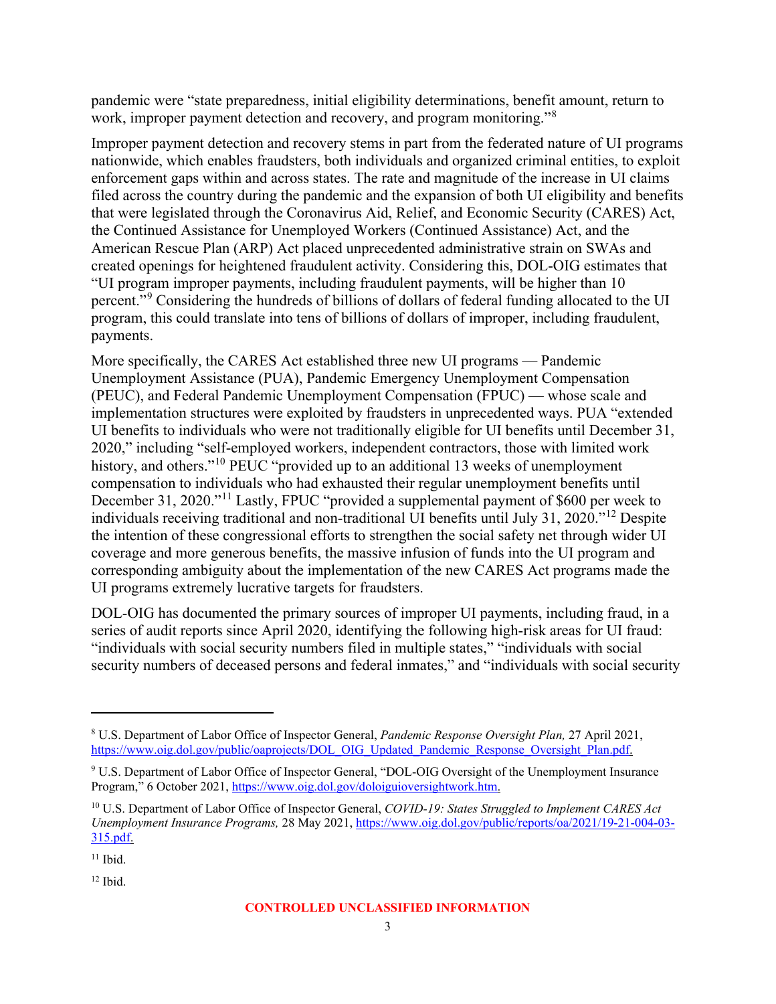pandemic were "state preparedness, initial eligibility determinations, benefit amount, return to work, improper payment detection and recovery, and program monitoring."<sup>[8](#page-9-0)</sup>

Improper payment detection and recovery stems in part from the federated nature of UI programs nationwide, which enables fraudsters, both individuals and organized criminal entities, to exploit enforcement gaps within and across states. The rate and magnitude of the increase in UI claims filed across the country during the pandemic and the expansion of both UI eligibility and benefits that were legislated through the Coronavirus Aid, Relief, and Economic Security (CARES) Act, the Continued Assistance for Unemployed Workers (Continued Assistance) Act, and the American Rescue Plan (ARP) Act placed unprecedented administrative strain on SWAs and created openings for heightened fraudulent activity. Considering this, DOL-OIG estimates that "UI program improper payments, including fraudulent payments, will be higher than 10 percent."[9](#page-9-1) Considering the hundreds of billions of dollars of federal funding allocated to the UI program, this could translate into tens of billions of dollars of improper, including fraudulent, payments.

More specifically, the CARES Act established three new UI programs — Pandemic Unemployment Assistance (PUA), Pandemic Emergency Unemployment Compensation (PEUC), and Federal Pandemic Unemployment Compensation (FPUC) — whose scale and implementation structures were exploited by fraudsters in unprecedented ways. PUA "extended UI benefits to individuals who were not traditionally eligible for UI benefits until December 31, 2020," including "self-employed workers, independent contractors, those with limited work history, and others."<sup>[10](#page-9-2)</sup> PEUC "provided up to an additional 13 weeks of unemployment compensation to individuals who had exhausted their regular unemployment benefits until December 31, 2020."<sup>[11](#page-9-3)</sup> Lastly, FPUC "provided a supplemental payment of \$600 per week to individuals receiving traditional and non-traditional UI benefits until July 31, 2020."[12](#page-9-4) Despite the intention of these congressional efforts to strengthen the social safety net through wider UI coverage and more generous benefits, the massive infusion of funds into the UI program and corresponding ambiguity about the implementation of the new CARES Act programs made the UI programs extremely lucrative targets for fraudsters.

DOL-OIG has documented the primary sources of improper UI payments, including fraud, in a series of audit reports since April 2020, identifying the following high-risk areas for UI fraud: "individuals with social security numbers filed in multiple states," "individuals with social security numbers of deceased persons and federal inmates," and "individuals with social security

<span id="page-9-0"></span><sup>8</sup> U.S. Department of Labor Office of Inspector General, *Pandemic Response Oversight Plan,* 27 April 2021, [https://www.oig.dol.gov/public/oaprojects/DOL\\_OIG\\_Updated\\_Pandemic\\_Response\\_Oversight\\_Plan.pdf.](https://www.oig.dol.gov/public/oaprojects/DOL_OIG_Updated_Pandemic_Response_Oversight_Plan.pdf)

<span id="page-9-1"></span><sup>9</sup> U.S. Department of Labor Office of Inspector General, "DOL-OIG Oversight of the Unemployment Insurance Program," 6 October 2021, [https://www.oig.dol.gov/doloiguioversightwork.htm.](https://www.oig.dol.gov/doloiguioversightwork.htm)

<span id="page-9-2"></span><sup>10</sup> U.S. Department of Labor Office of Inspector General, *COVID-19: States Struggled to Implement CARES Act Unemployment Insurance Programs,* 28 May 2021, [https://www.oig.dol.gov/public/reports/oa/2021/19-21-004-03-](https://www.oig.dol.gov/public/reports/oa/2021/19-21-004-03-315.pdf) [315.pdf.](https://www.oig.dol.gov/public/reports/oa/2021/19-21-004-03-315.pdf)

<span id="page-9-3"></span> $11$  Ibid.

<span id="page-9-4"></span> $12$  Ibid.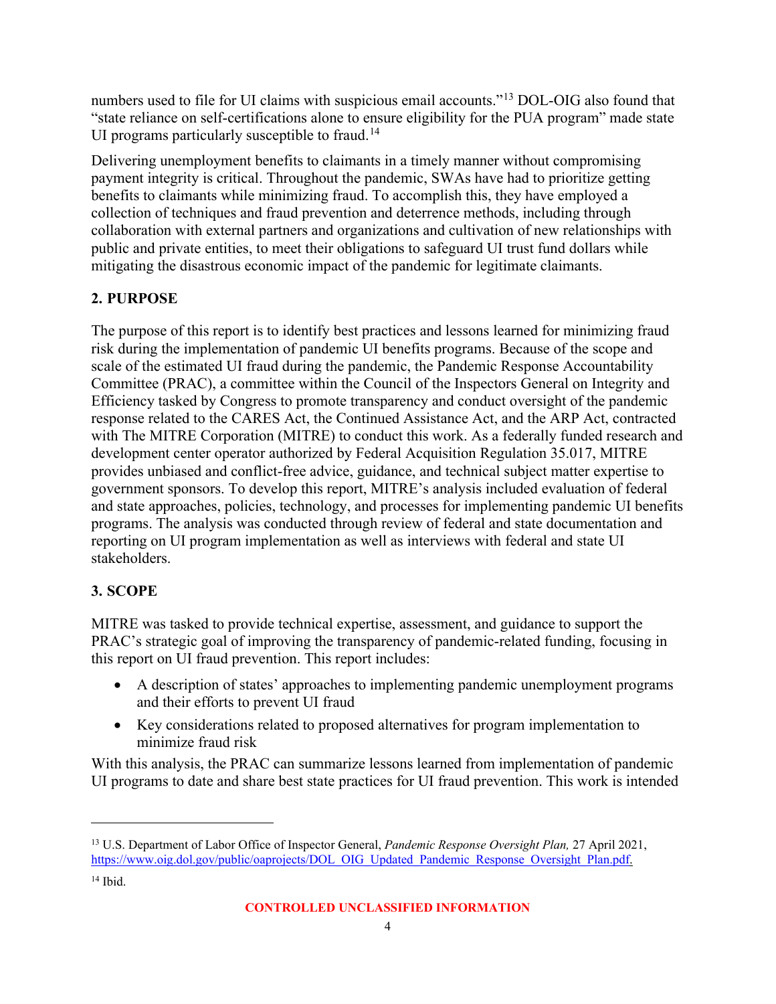numbers used to file for UI claims with suspicious email accounts."[13](#page-10-2) DOL-OIG also found that "state reliance on self-certifications alone to ensure eligibility for the PUA program" made state UI programs particularly susceptible to fraud.<sup>[14](#page-10-3)</sup>

Delivering unemployment benefits to claimants in a timely manner without compromising payment integrity is critical. Throughout the pandemic, SWAs have had to prioritize getting benefits to claimants while minimizing fraud. To accomplish this, they have employed a collection of techniques and fraud prevention and deterrence methods, including through collaboration with external partners and organizations and cultivation of new relationships with public and private entities, to meet their obligations to safeguard UI trust fund dollars while mitigating the disastrous economic impact of the pandemic for legitimate claimants.

### <span id="page-10-0"></span>**2. PURPOSE**

The purpose of this report is to identify best practices and lessons learned for minimizing fraud risk during the implementation of pandemic UI benefits programs. Because of the scope and scale of the estimated UI fraud during the pandemic, the Pandemic Response Accountability Committee (PRAC), a committee within the Council of the Inspectors General on Integrity and Efficiency tasked by Congress to promote transparency and conduct oversight of the pandemic response related to the CARES Act, the Continued Assistance Act, and the ARP Act, contracted with The MITRE Corporation (MITRE) to conduct this work. As a federally funded research and development center operator authorized by Federal Acquisition Regulation 35.017, MITRE provides unbiased and conflict-free advice, guidance, and technical subject matter expertise to government sponsors. To develop this report, MITRE's analysis included evaluation of federal and state approaches, policies, technology, and processes for implementing pandemic UI benefits programs. The analysis was conducted through review of federal and state documentation and reporting on UI program implementation as well as interviews with federal and state UI stakeholders.

# <span id="page-10-1"></span>**3. SCOPE**

MITRE was tasked to provide technical expertise, assessment, and guidance to support the PRAC's strategic goal of improving the transparency of pandemic-related funding, focusing in this report on UI fraud prevention. This report includes:

- A description of states' approaches to implementing pandemic unemployment programs and their efforts to prevent UI fraud
- Key considerations related to proposed alternatives for program implementation to minimize fraud risk

With this analysis, the PRAC can summarize lessons learned from implementation of pandemic UI programs to date and share best state practices for UI fraud prevention. This work is intended

<span id="page-10-3"></span><span id="page-10-2"></span><sup>13</sup> U.S. Department of Labor Office of Inspector General, *Pandemic Response Oversight Plan,* 27 April 2021, [https://www.oig.dol.gov/public/oaprojects/DOL\\_OIG\\_Updated\\_Pandemic\\_Response\\_Oversight\\_Plan.pdf.](https://www.oig.dol.gov/public/oaprojects/DOL_OIG_Updated_Pandemic_Response_Oversight_Plan.pdf) <sup>14</sup> Ibid.

**CONTROLLED UNCLASSIFIED INFORMATION**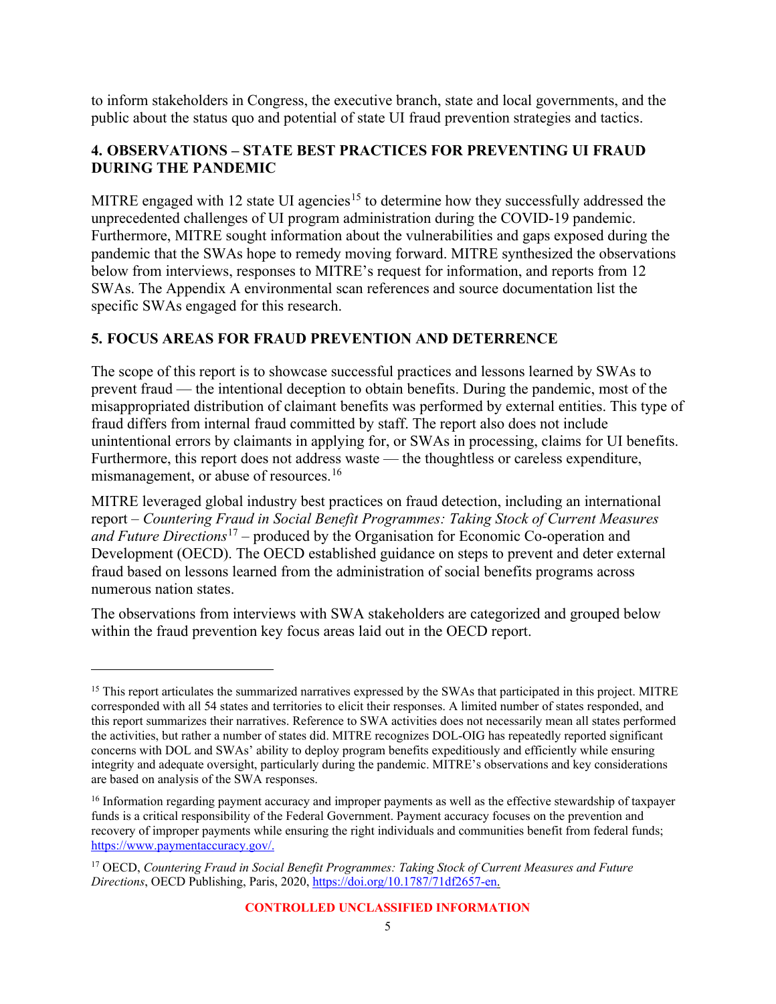to inform stakeholders in Congress, the executive branch, state and local governments, and the public about the status quo and potential of state UI fraud prevention strategies and tactics.

#### <span id="page-11-0"></span>**4. OBSERVATIONS – STATE BEST PRACTICES FOR PREVENTING UI FRAUD DURING THE PANDEMIC**

MITRE engaged with 12 state UI agencies<sup>[15](#page-11-2)</sup> to determine how they successfully addressed the unprecedented challenges of UI program administration during the COVID-19 pandemic. Furthermore, MITRE sought information about the vulnerabilities and gaps exposed during the pandemic that the SWAs hope to remedy moving forward. MITRE synthesized the observations below from interviews, responses to MITRE's request for information, and reports from 12 SWAs. The Appendix A environmental scan references and source documentation list the specific SWAs engaged for this research.

#### <span id="page-11-1"></span>**5. FOCUS AREAS FOR FRAUD PREVENTION AND DETERRENCE**

The scope of this report is to showcase successful practices and lessons learned by SWAs to prevent fraud — the intentional deception to obtain benefits. During the pandemic, most of the misappropriated distribution of claimant benefits was performed by external entities. This type of fraud differs from internal fraud committed by staff. The report also does not include unintentional errors by claimants in applying for, or SWAs in processing, claims for UI benefits. Furthermore, this report does not address waste — the thoughtless or careless expenditure, mismanagement, or abuse of resources.<sup>[16](#page-11-3)</sup>

MITRE leveraged global industry best practices on fraud detection, including an international report – *Countering Fraud in Social Benefit Programmes: Taking Stock of Current Measures and Future Directions*[17](#page-11-4) – produced by the Organisation for Economic Co-operation and Development (OECD). The OECD established guidance on steps to prevent and deter external fraud based on lessons learned from the administration of social benefits programs across numerous nation states.

The observations from interviews with SWA stakeholders are categorized and grouped below within the fraud prevention key focus areas laid out in the OECD report.

<span id="page-11-2"></span><sup>&</sup>lt;sup>15</sup> This report articulates the summarized narratives expressed by the SWAs that participated in this project. MITRE corresponded with all 54 states and territories to elicit their responses. A limited number of states responded, and this report summarizes their narratives. Reference to SWA activities does not necessarily mean all states performed the activities, but rather a number of states did. MITRE recognizes DOL-OIG has repeatedly reported significant concerns with DOL and SWAs' ability to deploy program benefits expeditiously and efficiently while ensuring integrity and adequate oversight, particularly during the pandemic. MITRE's observations and key considerations are based on analysis of the SWA responses.

<span id="page-11-3"></span><sup>&</sup>lt;sup>16</sup> Information regarding payment accuracy and improper payments as well as the effective stewardship of taxpayer funds is a critical responsibility of the Federal Government. Payment accuracy focuses on the prevention and recovery of improper payments while ensuring the right individuals and communities benefit from federal funds; [https://www.paymentaccuracy.gov/.](https://www.paymentaccuracy.gov/)

<span id="page-11-4"></span><sup>17</sup> OECD, *Countering Fraud in Social Benefit Programmes: Taking Stock of Current Measures and Future Directions*, OECD Publishing, Paris, 2020[, https://doi.org/10.1787/71df2657-en.](https://doi.org/10.1787/71df2657-en)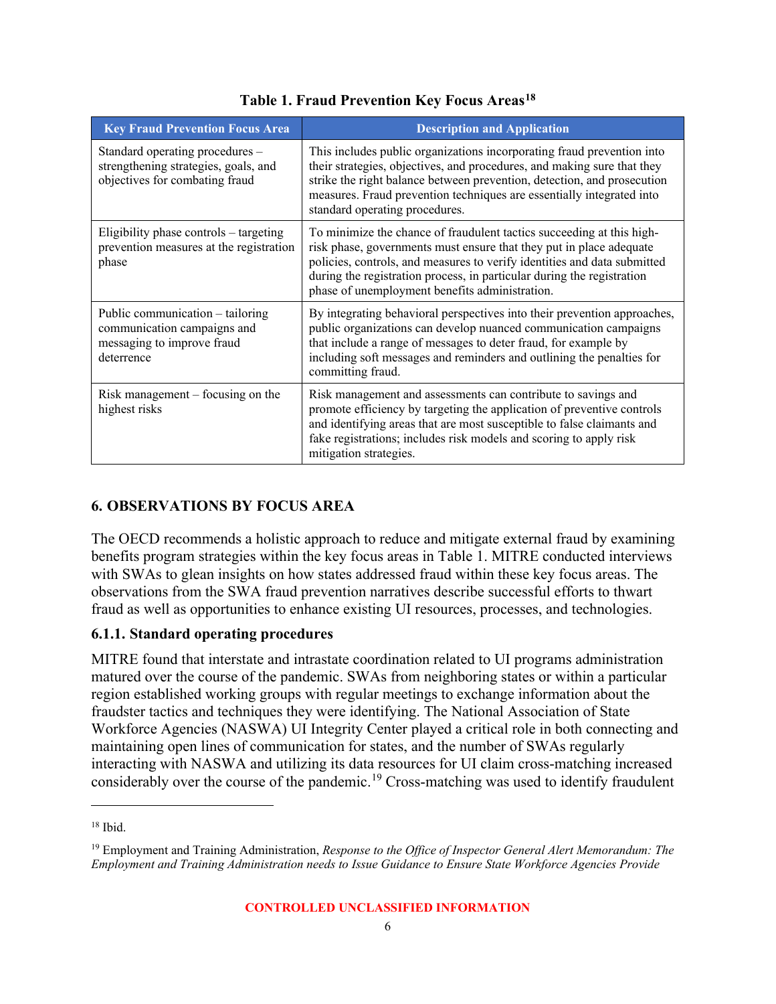<span id="page-12-1"></span>

| <b>Key Fraud Prevention Focus Area</b>                                                                      | <b>Description and Application</b>                                                                                                                                                                                                                                                                                                                   |
|-------------------------------------------------------------------------------------------------------------|------------------------------------------------------------------------------------------------------------------------------------------------------------------------------------------------------------------------------------------------------------------------------------------------------------------------------------------------------|
| Standard operating procedures -<br>strengthening strategies, goals, and<br>objectives for combating fraud   | This includes public organizations incorporating fraud prevention into<br>their strategies, objectives, and procedures, and making sure that they<br>strike the right balance between prevention, detection, and prosecution<br>measures. Fraud prevention techniques are essentially integrated into<br>standard operating procedures.              |
| Eligibility phase controls – targeting<br>prevention measures at the registration<br>phase                  | To minimize the chance of fraudulent tactics succeeding at this high-<br>risk phase, governments must ensure that they put in place adequate<br>policies, controls, and measures to verify identities and data submitted<br>during the registration process, in particular during the registration<br>phase of unemployment benefits administration. |
| Public communication – tailoring<br>communication campaigns and<br>messaging to improve fraud<br>deterrence | By integrating behavioral perspectives into their prevention approaches,<br>public organizations can develop nuanced communication campaigns<br>that include a range of messages to deter fraud, for example by<br>including soft messages and reminders and outlining the penalties for<br>committing fraud.                                        |
| Risk management $-$ focusing on the<br>highest risks                                                        | Risk management and assessments can contribute to savings and<br>promote efficiency by targeting the application of preventive controls<br>and identifying areas that are most susceptible to false claimants and<br>fake registrations; includes risk models and scoring to apply risk<br>mitigation strategies.                                    |

#### **Table 1. Fraud Prevention Key Focus Areas[18](#page-12-2)**

#### <span id="page-12-0"></span>**6. OBSERVATIONS BY FOCUS AREA**

The OECD recommends a holistic approach to reduce and mitigate external fraud by examining benefits program strategies within the key focus areas in Table 1. MITRE conducted interviews with SWAs to glean insights on how states addressed fraud within these key focus areas. The observations from the SWA fraud prevention narratives describe successful efforts to thwart fraud as well as opportunities to enhance existing UI resources, processes, and technologies.

#### **6.1.1. Standard operating procedures**

MITRE found that interstate and intrastate coordination related to UI programs administration matured over the course of the pandemic. SWAs from neighboring states or within a particular region established working groups with regular meetings to exchange information about the fraudster tactics and techniques they were identifying. The National Association of State Workforce Agencies (NASWA) UI Integrity Center played a critical role in both connecting and maintaining open lines of communication for states, and the number of SWAs regularly interacting with NASWA and utilizing its data resources for UI claim cross-matching increased considerably over the course of the pandemic.<sup>[19](#page-12-3)</sup> Cross-matching was used to identify fraudulent

<span id="page-12-2"></span><sup>18</sup> Ibid.

<span id="page-12-3"></span><sup>19</sup> Employment and Training Administration, *Response to the Office of Inspector General Alert Memorandum: The Employment and Training Administration needs to Issue Guidance to Ensure State Workforce Agencies Provide*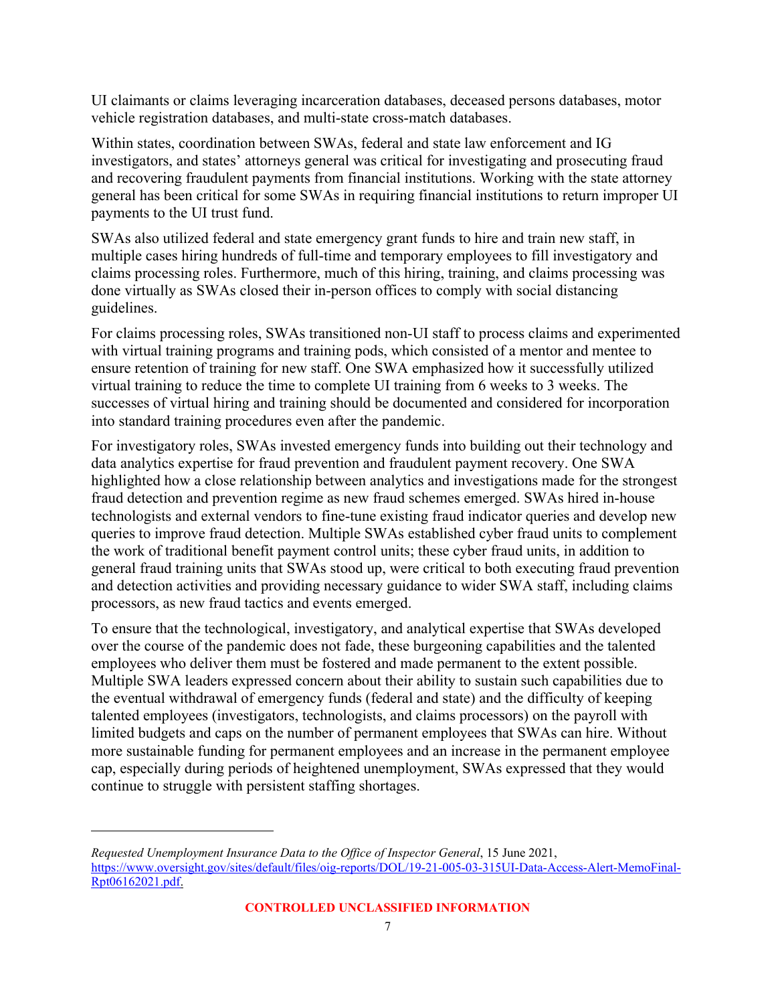UI claimants or claims leveraging incarceration databases, deceased persons databases, motor vehicle registration databases, and multi-state cross-match databases.

Within states, coordination between SWAs, federal and state law enforcement and IG investigators, and states' attorneys general was critical for investigating and prosecuting fraud and recovering fraudulent payments from financial institutions. Working with the state attorney general has been critical for some SWAs in requiring financial institutions to return improper UI payments to the UI trust fund.

SWAs also utilized federal and state emergency grant funds to hire and train new staff, in multiple cases hiring hundreds of full-time and temporary employees to fill investigatory and claims processing roles. Furthermore, much of this hiring, training, and claims processing was done virtually as SWAs closed their in-person offices to comply with social distancing guidelines.

For claims processing roles, SWAs transitioned non-UI staff to process claims and experimented with virtual training programs and training pods, which consisted of a mentor and mentee to ensure retention of training for new staff. One SWA emphasized how it successfully utilized virtual training to reduce the time to complete UI training from 6 weeks to 3 weeks. The successes of virtual hiring and training should be documented and considered for incorporation into standard training procedures even after the pandemic.

For investigatory roles, SWAs invested emergency funds into building out their technology and data analytics expertise for fraud prevention and fraudulent payment recovery. One SWA highlighted how a close relationship between analytics and investigations made for the strongest fraud detection and prevention regime as new fraud schemes emerged. SWAs hired in-house technologists and external vendors to fine-tune existing fraud indicator queries and develop new queries to improve fraud detection. Multiple SWAs established cyber fraud units to complement the work of traditional benefit payment control units; these cyber fraud units, in addition to general fraud training units that SWAs stood up, were critical to both executing fraud prevention and detection activities and providing necessary guidance to wider SWA staff, including claims processors, as new fraud tactics and events emerged.

To ensure that the technological, investigatory, and analytical expertise that SWAs developed over the course of the pandemic does not fade, these burgeoning capabilities and the talented employees who deliver them must be fostered and made permanent to the extent possible. Multiple SWA leaders expressed concern about their ability to sustain such capabilities due to the eventual withdrawal of emergency funds (federal and state) and the difficulty of keeping talented employees (investigators, technologists, and claims processors) on the payroll with limited budgets and caps on the number of permanent employees that SWAs can hire. Without more sustainable funding for permanent employees and an increase in the permanent employee cap, especially during periods of heightened unemployment, SWAs expressed that they would continue to struggle with persistent staffing shortages.

*Requested Unemployment Insurance Data to the Office of Inspector General*, 15 June 2021, [https://www.oversight.gov/sites/default/files/oig-reports/DOL/19-21-005-03-315UI-Data-Access-Alert-MemoFinal-](https://www.oversight.gov/sites/default/files/oig-reports/DOL/19-21-005-03-315UI-Data-Access-Alert-MemoFinal-Rpt06162021.pdf)[Rpt06162021.pdf.](https://www.oversight.gov/sites/default/files/oig-reports/DOL/19-21-005-03-315UI-Data-Access-Alert-MemoFinal-Rpt06162021.pdf)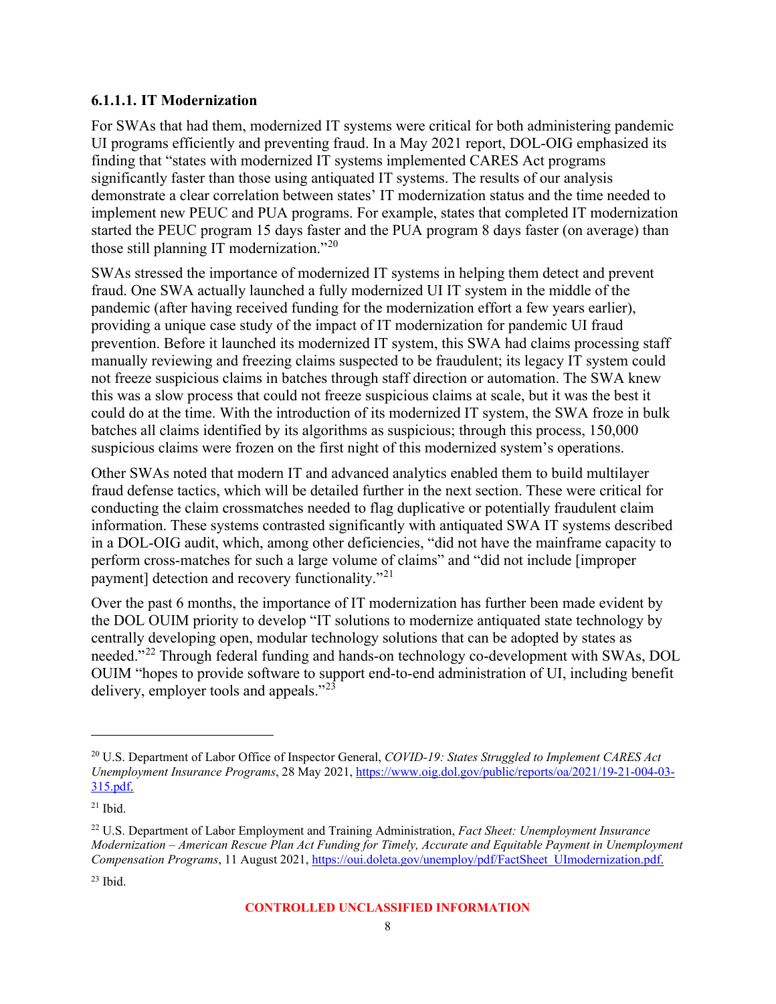#### **6.1.1.1. IT Modernization**

For SWAs that had them, modernized IT systems were critical for both administering pandemic UI programs efficiently and preventing fraud. In a May 2021 report, DOL-OIG emphasized its finding that "states with modernized IT systems implemented CARES Act programs significantly faster than those using antiquated IT systems. The results of our analysis demonstrate a clear correlation between states' IT modernization status and the time needed to implement new PEUC and PUA programs. For example, states that completed IT modernization started the PEUC program 15 days faster and the PUA program 8 days faster (on average) than those still planning IT modernization."<sup>[20](#page-14-0)</sup>

SWAs stressed the importance of modernized IT systems in helping them detect and prevent fraud. One SWA actually launched a fully modernized UI IT system in the middle of the pandemic (after having received funding for the modernization effort a few years earlier), providing a unique case study of the impact of IT modernization for pandemic UI fraud prevention. Before it launched its modernized IT system, this SWA had claims processing staff manually reviewing and freezing claims suspected to be fraudulent; its legacy IT system could not freeze suspicious claims in batches through staff direction or automation. The SWA knew this was a slow process that could not freeze suspicious claims at scale, but it was the best it could do at the time. With the introduction of its modernized IT system, the SWA froze in bulk batches all claims identified by its algorithms as suspicious; through this process, 150,000 suspicious claims were frozen on the first night of this modernized system's operations.

Other SWAs noted that modern IT and advanced analytics enabled them to build multilayer fraud defense tactics, which will be detailed further in the next section. These were critical for conducting the claim crossmatches needed to flag duplicative or potentially fraudulent claim information. These systems contrasted significantly with antiquated SWA IT systems described in a DOL-OIG audit, which, among other deficiencies, "did not have the mainframe capacity to perform cross-matches for such a large volume of claims" and "did not include [improper payment] detection and recovery functionality."[21](#page-14-1)

Over the past 6 months, the importance of IT modernization has further been made evident by the DOL OUIM priority to develop "IT solutions to modernize antiquated state technology by centrally developing open, modular technology solutions that can be adopted by states as needed."<sup>[22](#page-14-2)</sup> Through federal funding and hands-on technology co-development with SWAs, DOL OUIM "hopes to provide software to support end-to-end administration of UI, including benefit delivery, employer tools and appeals."[23](#page-14-3)

<span id="page-14-0"></span><sup>20</sup> U.S. Department of Labor Office of Inspector General, *COVID-19: States Struggled to Implement CARES Act Unemployment Insurance Programs*, 28 May 2021, [https://www.oig.dol.gov/public/reports/oa/2021/19-21-004-03-](https://www.oig.dol.gov/public/reports/oa/2021/19-21-004-03-315.pdf) [315.pdf.](https://www.oig.dol.gov/public/reports/oa/2021/19-21-004-03-315.pdf)

<span id="page-14-1"></span> $21$  Ibid.

<span id="page-14-2"></span><sup>22</sup> U.S. Department of Labor Employment and Training Administration, *Fact Sheet: Unemployment Insurance Modernization – American Rescue Plan Act Funding for Timely, Accurate and Equitable Payment in Unemployment Compensation Programs*, 11 August 2021, [https://oui.doleta.gov/unemploy/pdf/FactSheet\\_UImodernization.pdf.](https://oui.doleta.gov/unemploy/pdf/FactSheet_UImodernization.pdf)

<span id="page-14-3"></span> $23$  Ibid.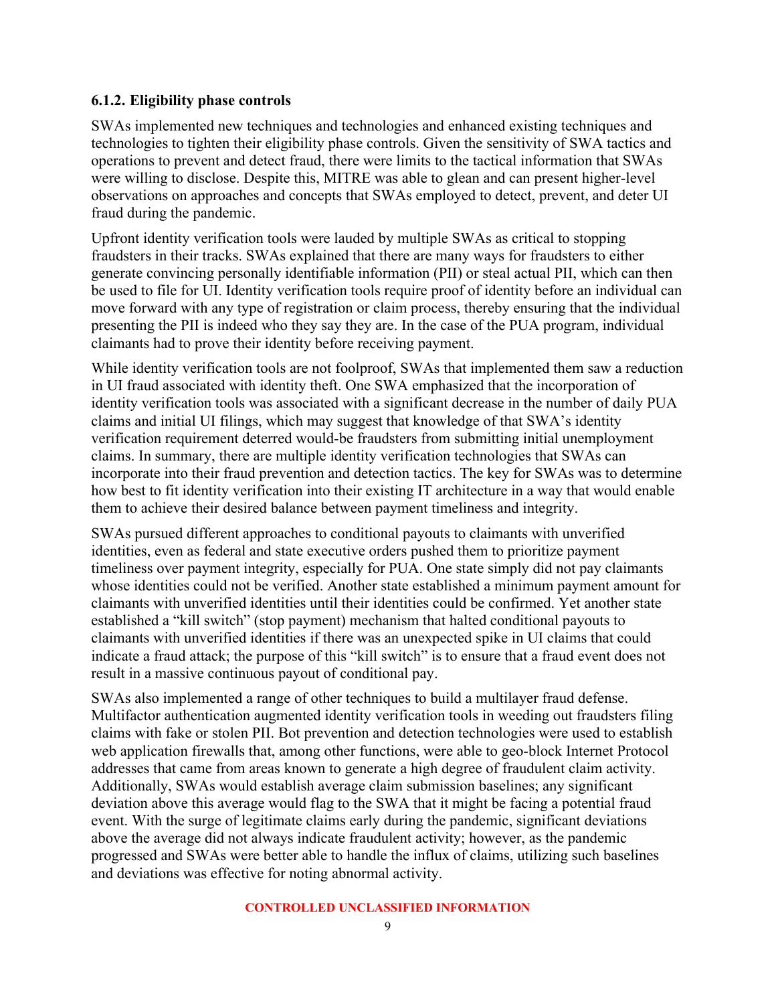#### **6.1.2. Eligibility phase controls**

SWAs implemented new techniques and technologies and enhanced existing techniques and technologies to tighten their eligibility phase controls. Given the sensitivity of SWA tactics and operations to prevent and detect fraud, there were limits to the tactical information that SWAs were willing to disclose. Despite this, MITRE was able to glean and can present higher-level observations on approaches and concepts that SWAs employed to detect, prevent, and deter UI fraud during the pandemic.

Upfront identity verification tools were lauded by multiple SWAs as critical to stopping fraudsters in their tracks. SWAs explained that there are many ways for fraudsters to either generate convincing personally identifiable information (PII) or steal actual PII, which can then be used to file for UI. Identity verification tools require proof of identity before an individual can move forward with any type of registration or claim process, thereby ensuring that the individual presenting the PII is indeed who they say they are. In the case of the PUA program, individual claimants had to prove their identity before receiving payment.

While identity verification tools are not foolproof, SWAs that implemented them saw a reduction in UI fraud associated with identity theft. One SWA emphasized that the incorporation of identity verification tools was associated with a significant decrease in the number of daily PUA claims and initial UI filings, which may suggest that knowledge of that SWA's identity verification requirement deterred would-be fraudsters from submitting initial unemployment claims. In summary, there are multiple identity verification technologies that SWAs can incorporate into their fraud prevention and detection tactics. The key for SWAs was to determine how best to fit identity verification into their existing IT architecture in a way that would enable them to achieve their desired balance between payment timeliness and integrity.

SWAs pursued different approaches to conditional payouts to claimants with unverified identities, even as federal and state executive orders pushed them to prioritize payment timeliness over payment integrity, especially for PUA. One state simply did not pay claimants whose identities could not be verified. Another state established a minimum payment amount for claimants with unverified identities until their identities could be confirmed. Yet another state established a "kill switch" (stop payment) mechanism that halted conditional payouts to claimants with unverified identities if there was an unexpected spike in UI claims that could indicate a fraud attack; the purpose of this "kill switch" is to ensure that a fraud event does not result in a massive continuous payout of conditional pay.

SWAs also implemented a range of other techniques to build a multilayer fraud defense. Multifactor authentication augmented identity verification tools in weeding out fraudsters filing claims with fake or stolen PII. Bot prevention and detection technologies were used to establish web application firewalls that, among other functions, were able to geo-block Internet Protocol addresses that came from areas known to generate a high degree of fraudulent claim activity. Additionally, SWAs would establish average claim submission baselines; any significant deviation above this average would flag to the SWA that it might be facing a potential fraud event. With the surge of legitimate claims early during the pandemic, significant deviations above the average did not always indicate fraudulent activity; however, as the pandemic progressed and SWAs were better able to handle the influx of claims, utilizing such baselines and deviations was effective for noting abnormal activity.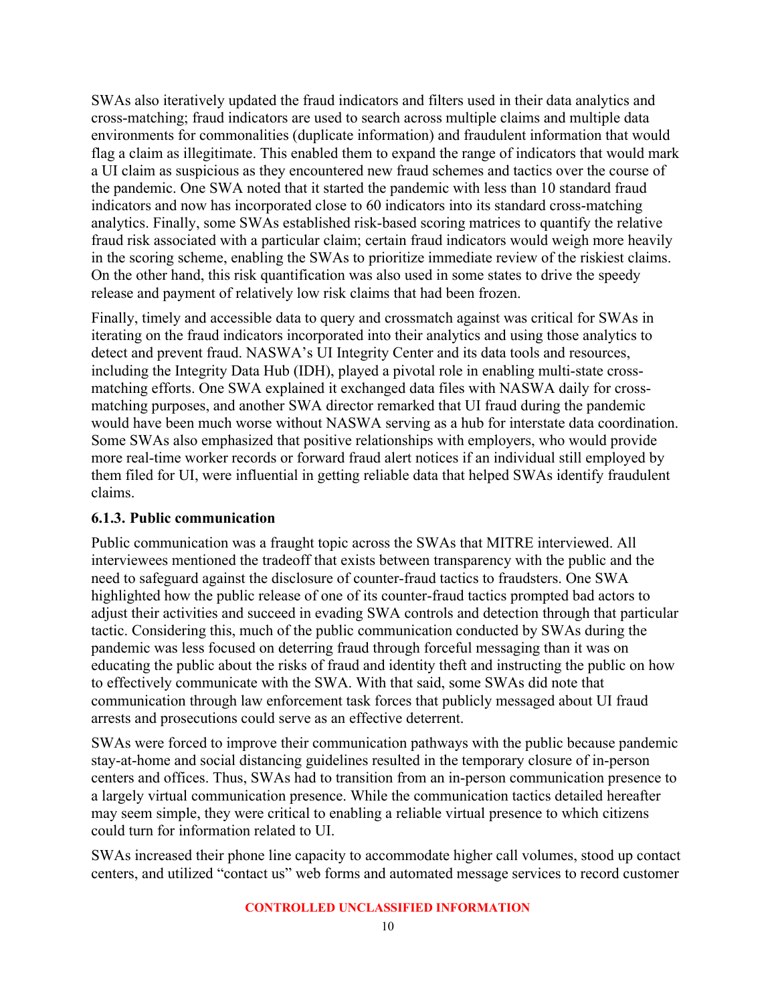SWAs also iteratively updated the fraud indicators and filters used in their data analytics and cross-matching; fraud indicators are used to search across multiple claims and multiple data environments for commonalities (duplicate information) and fraudulent information that would flag a claim as illegitimate. This enabled them to expand the range of indicators that would mark a UI claim as suspicious as they encountered new fraud schemes and tactics over the course of the pandemic. One SWA noted that it started the pandemic with less than 10 standard fraud indicators and now has incorporated close to 60 indicators into its standard cross-matching analytics. Finally, some SWAs established risk-based scoring matrices to quantify the relative fraud risk associated with a particular claim; certain fraud indicators would weigh more heavily in the scoring scheme, enabling the SWAs to prioritize immediate review of the riskiest claims. On the other hand, this risk quantification was also used in some states to drive the speedy release and payment of relatively low risk claims that had been frozen.

Finally, timely and accessible data to query and crossmatch against was critical for SWAs in iterating on the fraud indicators incorporated into their analytics and using those analytics to detect and prevent fraud. NASWA's UI Integrity Center and its data tools and resources, including the Integrity Data Hub (IDH), played a pivotal role in enabling multi-state crossmatching efforts. One SWA explained it exchanged data files with NASWA daily for crossmatching purposes, and another SWA director remarked that UI fraud during the pandemic would have been much worse without NASWA serving as a hub for interstate data coordination. Some SWAs also emphasized that positive relationships with employers, who would provide more real-time worker records or forward fraud alert notices if an individual still employed by them filed for UI, were influential in getting reliable data that helped SWAs identify fraudulent claims.

#### **6.1.3. Public communication**

Public communication was a fraught topic across the SWAs that MITRE interviewed. All interviewees mentioned the tradeoff that exists between transparency with the public and the need to safeguard against the disclosure of counter-fraud tactics to fraudsters. One SWA highlighted how the public release of one of its counter-fraud tactics prompted bad actors to adjust their activities and succeed in evading SWA controls and detection through that particular tactic. Considering this, much of the public communication conducted by SWAs during the pandemic was less focused on deterring fraud through forceful messaging than it was on educating the public about the risks of fraud and identity theft and instructing the public on how to effectively communicate with the SWA. With that said, some SWAs did note that communication through law enforcement task forces that publicly messaged about UI fraud arrests and prosecutions could serve as an effective deterrent.

SWAs were forced to improve their communication pathways with the public because pandemic stay-at-home and social distancing guidelines resulted in the temporary closure of in-person centers and offices. Thus, SWAs had to transition from an in-person communication presence to a largely virtual communication presence. While the communication tactics detailed hereafter may seem simple, they were critical to enabling a reliable virtual presence to which citizens could turn for information related to UI.

SWAs increased their phone line capacity to accommodate higher call volumes, stood up contact centers, and utilized "contact us" web forms and automated message services to record customer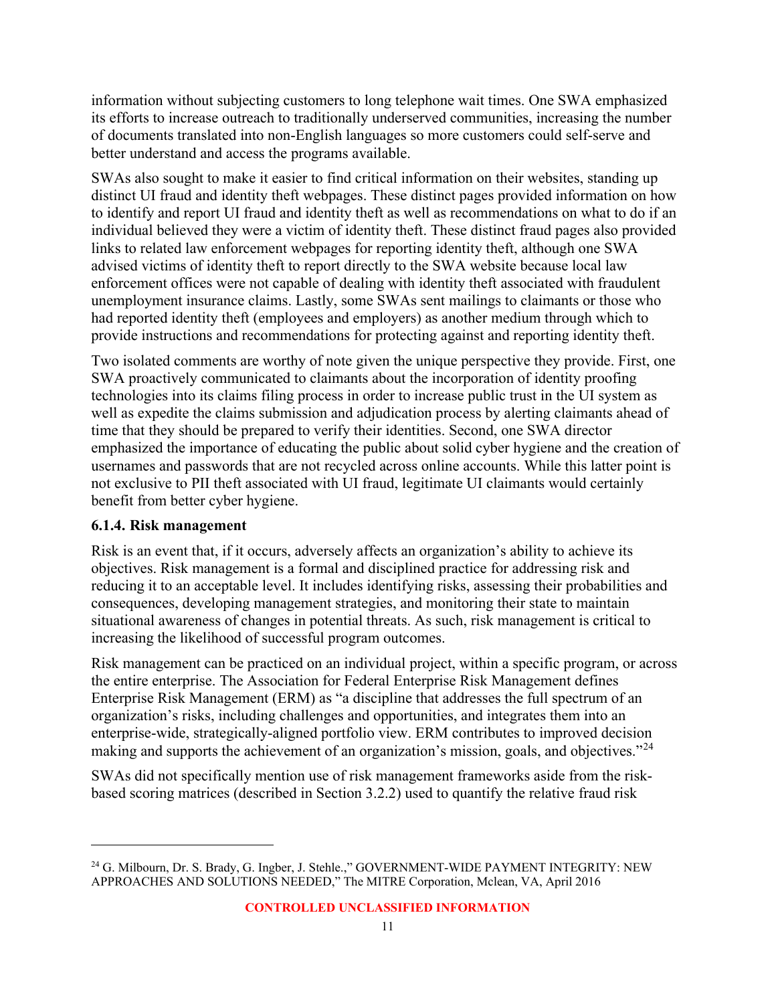information without subjecting customers to long telephone wait times. One SWA emphasized its efforts to increase outreach to traditionally underserved communities, increasing the number of documents translated into non-English languages so more customers could self-serve and better understand and access the programs available.

SWAs also sought to make it easier to find critical information on their websites, standing up distinct UI fraud and identity theft webpages. These distinct pages provided information on how to identify and report UI fraud and identity theft as well as recommendations on what to do if an individual believed they were a victim of identity theft. These distinct fraud pages also provided links to related law enforcement webpages for reporting identity theft, although one SWA advised victims of identity theft to report directly to the SWA website because local law enforcement offices were not capable of dealing with identity theft associated with fraudulent unemployment insurance claims. Lastly, some SWAs sent mailings to claimants or those who had reported identity theft (employees and employers) as another medium through which to provide instructions and recommendations for protecting against and reporting identity theft.

Two isolated comments are worthy of note given the unique perspective they provide. First, one SWA proactively communicated to claimants about the incorporation of identity proofing technologies into its claims filing process in order to increase public trust in the UI system as well as expedite the claims submission and adjudication process by alerting claimants ahead of time that they should be prepared to verify their identities. Second, one SWA director emphasized the importance of educating the public about solid cyber hygiene and the creation of usernames and passwords that are not recycled across online accounts. While this latter point is not exclusive to PII theft associated with UI fraud, legitimate UI claimants would certainly benefit from better cyber hygiene.

#### **6.1.4. Risk management**

Risk is an event that, if it occurs, adversely affects an organization's ability to achieve its objectives. Risk management is a formal and disciplined practice for addressing risk and reducing it to an acceptable level. It includes identifying risks, assessing their probabilities and consequences, developing management strategies, and monitoring their state to maintain situational awareness of changes in potential threats. As such, risk management is critical to increasing the likelihood of successful program outcomes.

Risk management can be practiced on an individual project, within a specific program, or across the entire enterprise. The Association for Federal Enterprise Risk Management defines Enterprise Risk Management (ERM) as "a discipline that addresses the full spectrum of an organization's risks, including challenges and opportunities, and integrates them into an enterprise-wide, strategically-aligned portfolio view. ERM contributes to improved decision making and supports the achievement of an organization's mission, goals, and objectives."<sup>[24](#page-17-0)</sup>

SWAs did not specifically mention use of risk management frameworks aside from the riskbased scoring matrices (described in Section 3.2.2) used to quantify the relative fraud risk

<span id="page-17-0"></span><sup>24</sup> G. Milbourn, Dr. S. Brady, G. Ingber, J. Stehle.," GOVERNMENT-WIDE PAYMENT INTEGRITY: NEW APPROACHES AND SOLUTIONS NEEDED," The MITRE Corporation, Mclean, VA, April 2016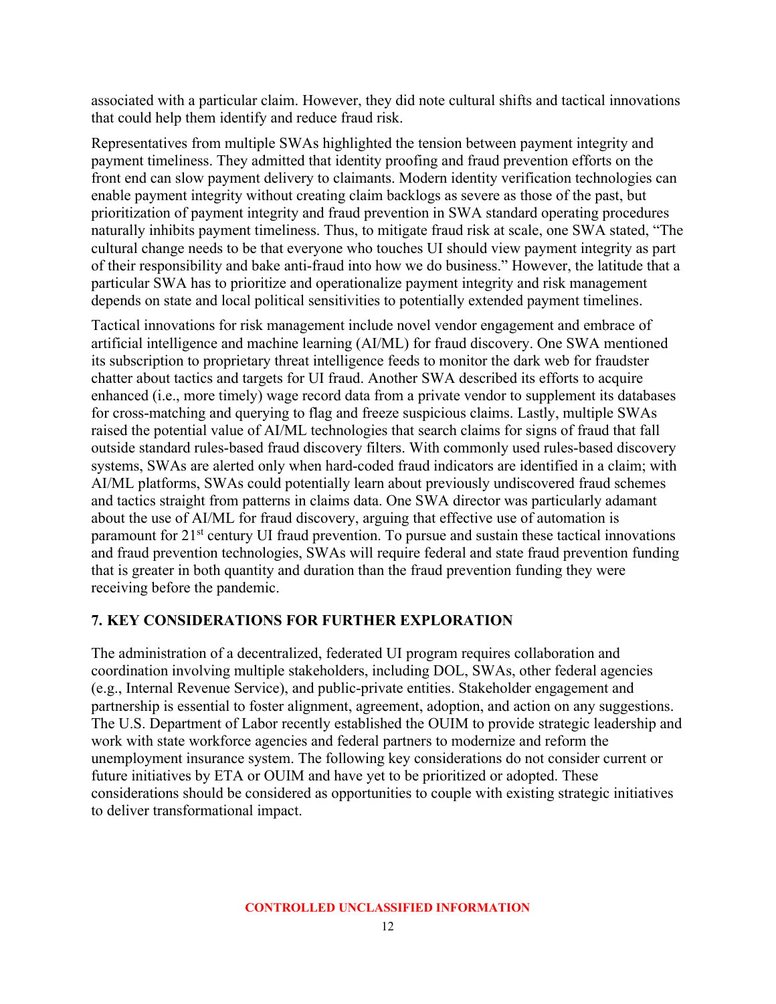associated with a particular claim. However, they did note cultural shifts and tactical innovations that could help them identify and reduce fraud risk.

Representatives from multiple SWAs highlighted the tension between payment integrity and payment timeliness. They admitted that identity proofing and fraud prevention efforts on the front end can slow payment delivery to claimants. Modern identity verification technologies can enable payment integrity without creating claim backlogs as severe as those of the past, but prioritization of payment integrity and fraud prevention in SWA standard operating procedures naturally inhibits payment timeliness. Thus, to mitigate fraud risk at scale, one SWA stated, "The cultural change needs to be that everyone who touches UI should view payment integrity as part of their responsibility and bake anti-fraud into how we do business." However, the latitude that a particular SWA has to prioritize and operationalize payment integrity and risk management depends on state and local political sensitivities to potentially extended payment timelines.

Tactical innovations for risk management include novel vendor engagement and embrace of artificial intelligence and machine learning (AI/ML) for fraud discovery. One SWA mentioned its subscription to proprietary threat intelligence feeds to monitor the dark web for fraudster chatter about tactics and targets for UI fraud. Another SWA described its efforts to acquire enhanced (i.e., more timely) wage record data from a private vendor to supplement its databases for cross-matching and querying to flag and freeze suspicious claims. Lastly, multiple SWAs raised the potential value of AI/ML technologies that search claims for signs of fraud that fall outside standard rules-based fraud discovery filters. With commonly used rules-based discovery systems, SWAs are alerted only when hard-coded fraud indicators are identified in a claim; with AI/ML platforms, SWAs could potentially learn about previously undiscovered fraud schemes and tactics straight from patterns in claims data. One SWA director was particularly adamant about the use of AI/ML for fraud discovery, arguing that effective use of automation is paramount for 21<sup>st</sup> century UI fraud prevention. To pursue and sustain these tactical innovations and fraud prevention technologies, SWAs will require federal and state fraud prevention funding that is greater in both quantity and duration than the fraud prevention funding they were receiving before the pandemic.

#### <span id="page-18-0"></span>**7. KEY CONSIDERATIONS FOR FURTHER EXPLORATION**

The administration of a decentralized, federated UI program requires collaboration and coordination involving multiple stakeholders, including DOL, SWAs, other federal agencies (e.g., Internal Revenue Service), and public-private entities. Stakeholder engagement and partnership is essential to foster alignment, agreement, adoption, and action on any suggestions. The U.S. Department of Labor recently established the OUIM to provide strategic leadership and work with state workforce agencies and federal partners to modernize and reform the unemployment insurance system. The following key considerations do not consider current or future initiatives by ETA or OUIM and have yet to be prioritized or adopted. These considerations should be considered as opportunities to couple with existing strategic initiatives to deliver transformational impact.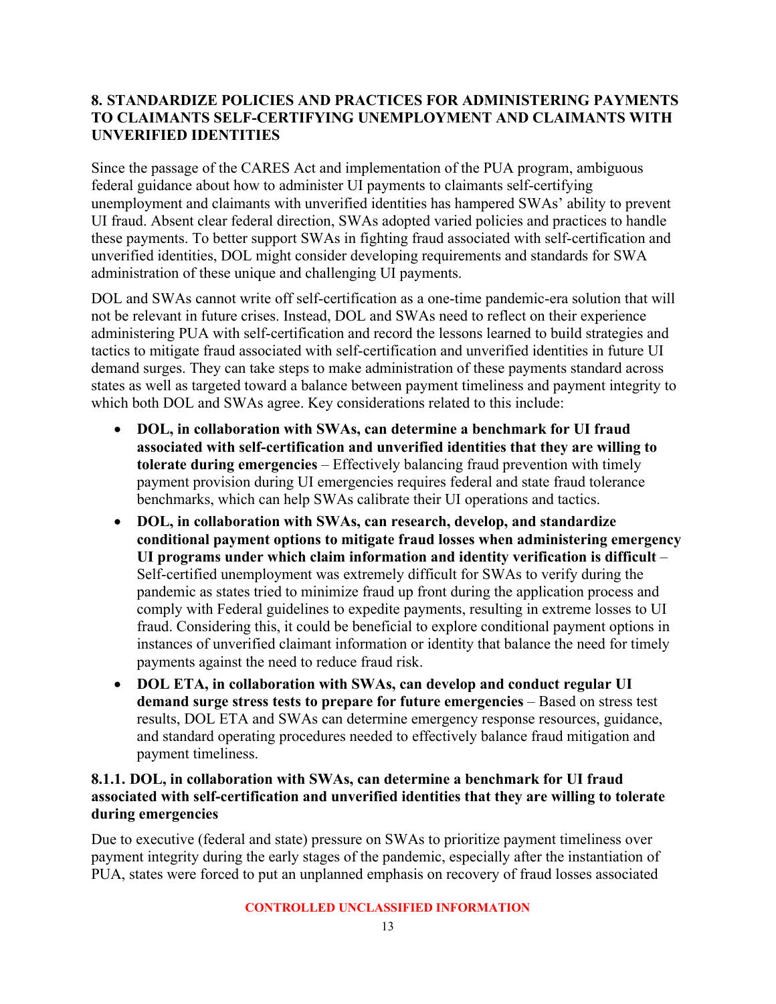#### <span id="page-19-0"></span>**8. STANDARDIZE POLICIES AND PRACTICES FOR ADMINISTERING PAYMENTS TO CLAIMANTS SELF-CERTIFYING UNEMPLOYMENT AND CLAIMANTS WITH UNVERIFIED IDENTITIES**

Since the passage of the CARES Act and implementation of the PUA program, ambiguous federal guidance about how to administer UI payments to claimants self-certifying unemployment and claimants with unverified identities has hampered SWAs' ability to prevent UI fraud. Absent clear federal direction, SWAs adopted varied policies and practices to handle these payments. To better support SWAs in fighting fraud associated with self-certification and unverified identities, DOL might consider developing requirements and standards for SWA administration of these unique and challenging UI payments.

DOL and SWAs cannot write off self-certification as a one-time pandemic-era solution that will not be relevant in future crises. Instead, DOL and SWAs need to reflect on their experience administering PUA with self-certification and record the lessons learned to build strategies and tactics to mitigate fraud associated with self-certification and unverified identities in future UI demand surges. They can take steps to make administration of these payments standard across states as well as targeted toward a balance between payment timeliness and payment integrity to which both DOL and SWAs agree. Key considerations related to this include:

- **DOL, in collaboration with SWAs, can determine a benchmark for UI fraud associated with self-certification and unverified identities that they are willing to tolerate during emergencies** – Effectively balancing fraud prevention with timely payment provision during UI emergencies requires federal and state fraud tolerance benchmarks, which can help SWAs calibrate their UI operations and tactics.
- **DOL, in collaboration with SWAs, can research, develop, and standardize conditional payment options to mitigate fraud losses when administering emergency UI programs under which claim information and identity verification is difficult** – Self-certified unemployment was extremely difficult for SWAs to verify during the pandemic as states tried to minimize fraud up front during the application process and comply with Federal guidelines to expedite payments, resulting in extreme losses to UI fraud. Considering this, it could be beneficial to explore conditional payment options in instances of unverified claimant information or identity that balance the need for timely payments against the need to reduce fraud risk.
- **DOL ETA, in collaboration with SWAs, can develop and conduct regular UI demand surge stress tests to prepare for future emergencies** – Based on stress test results, DOL ETA and SWAs can determine emergency response resources, guidance, and standard operating procedures needed to effectively balance fraud mitigation and payment timeliness.

#### **8.1.1. DOL, in collaboration with SWAs, can determine a benchmark for UI fraud associated with self-certification and unverified identities that they are willing to tolerate during emergencies**

Due to executive (federal and state) pressure on SWAs to prioritize payment timeliness over payment integrity during the early stages of the pandemic, especially after the instantiation of PUA, states were forced to put an unplanned emphasis on recovery of fraud losses associated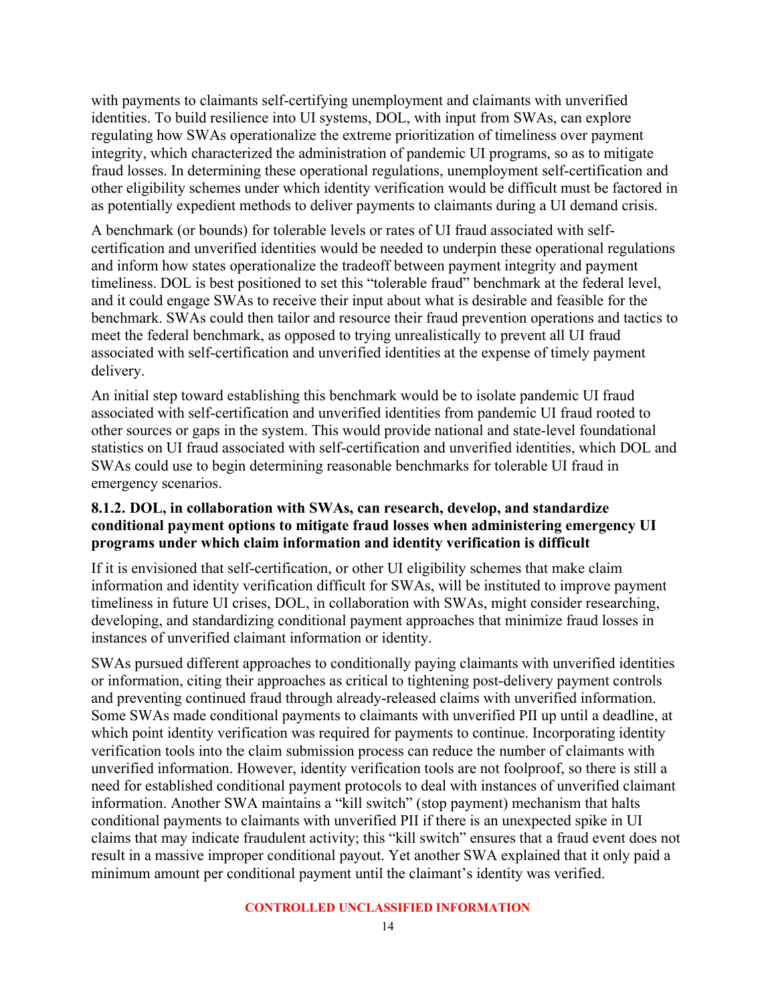with payments to claimants self-certifying unemployment and claimants with unverified identities. To build resilience into UI systems, DOL, with input from SWAs, can explore regulating how SWAs operationalize the extreme prioritization of timeliness over payment integrity, which characterized the administration of pandemic UI programs, so as to mitigate fraud losses. In determining these operational regulations, unemployment self-certification and other eligibility schemes under which identity verification would be difficult must be factored in as potentially expedient methods to deliver payments to claimants during a UI demand crisis.

A benchmark (or bounds) for tolerable levels or rates of UI fraud associated with selfcertification and unverified identities would be needed to underpin these operational regulations and inform how states operationalize the tradeoff between payment integrity and payment timeliness. DOL is best positioned to set this "tolerable fraud" benchmark at the federal level, and it could engage SWAs to receive their input about what is desirable and feasible for the benchmark. SWAs could then tailor and resource their fraud prevention operations and tactics to meet the federal benchmark, as opposed to trying unrealistically to prevent all UI fraud associated with self-certification and unverified identities at the expense of timely payment delivery.

An initial step toward establishing this benchmark would be to isolate pandemic UI fraud associated with self-certification and unverified identities from pandemic UI fraud rooted to other sources or gaps in the system. This would provide national and state-level foundational statistics on UI fraud associated with self-certification and unverified identities, which DOL and SWAs could use to begin determining reasonable benchmarks for tolerable UI fraud in emergency scenarios.

#### **8.1.2. DOL, in collaboration with SWAs, can research, develop, and standardize conditional payment options to mitigate fraud losses when administering emergency UI programs under which claim information and identity verification is difficult**

If it is envisioned that self-certification, or other UI eligibility schemes that make claim information and identity verification difficult for SWAs, will be instituted to improve payment timeliness in future UI crises, DOL, in collaboration with SWAs, might consider researching, developing, and standardizing conditional payment approaches that minimize fraud losses in instances of unverified claimant information or identity.

SWAs pursued different approaches to conditionally paying claimants with unverified identities or information, citing their approaches as critical to tightening post-delivery payment controls and preventing continued fraud through already-released claims with unverified information. Some SWAs made conditional payments to claimants with unverified PII up until a deadline, at which point identity verification was required for payments to continue. Incorporating identity verification tools into the claim submission process can reduce the number of claimants with unverified information. However, identity verification tools are not foolproof, so there is still a need for established conditional payment protocols to deal with instances of unverified claimant information. Another SWA maintains a "kill switch" (stop payment) mechanism that halts conditional payments to claimants with unverified PII if there is an unexpected spike in UI claims that may indicate fraudulent activity; this "kill switch" ensures that a fraud event does not result in a massive improper conditional payout. Yet another SWA explained that it only paid a minimum amount per conditional payment until the claimant's identity was verified.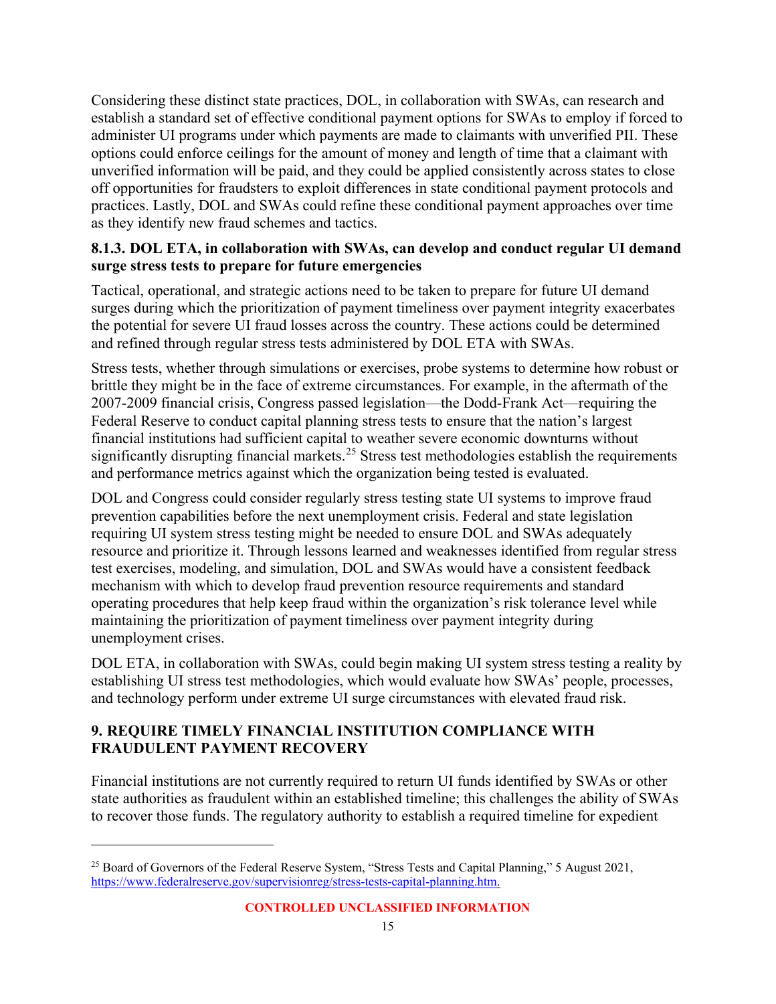Considering these distinct state practices, DOL, in collaboration with SWAs, can research and establish a standard set of effective conditional payment options for SWAs to employ if forced to administer UI programs under which payments are made to claimants with unverified PII. These options could enforce ceilings for the amount of money and length of time that a claimant with unverified information will be paid, and they could be applied consistently across states to close off opportunities for fraudsters to exploit differences in state conditional payment protocols and practices. Lastly, DOL and SWAs could refine these conditional payment approaches over time as they identify new fraud schemes and tactics.

#### **8.1.3. DOL ETA, in collaboration with SWAs, can develop and conduct regular UI demand surge stress tests to prepare for future emergencies**

Tactical, operational, and strategic actions need to be taken to prepare for future UI demand surges during which the prioritization of payment timeliness over payment integrity exacerbates the potential for severe UI fraud losses across the country. These actions could be determined and refined through regular stress tests administered by DOL ETA with SWAs.

Stress tests, whether through simulations or exercises, probe systems to determine how robust or brittle they might be in the face of extreme circumstances. For example, in the aftermath of the 2007-2009 financial crisis, Congress passed legislation—the Dodd-Frank Act—requiring the Federal Reserve to conduct capital planning stress tests to ensure that the nation's largest financial institutions had sufficient capital to weather severe economic downturns without significantly disrupting financial markets.<sup>[25](#page-21-1)</sup> Stress test methodologies establish the requirements and performance metrics against which the organization being tested is evaluated.

DOL and Congress could consider regularly stress testing state UI systems to improve fraud prevention capabilities before the next unemployment crisis. Federal and state legislation requiring UI system stress testing might be needed to ensure DOL and SWAs adequately resource and prioritize it. Through lessons learned and weaknesses identified from regular stress test exercises, modeling, and simulation, DOL and SWAs would have a consistent feedback mechanism with which to develop fraud prevention resource requirements and standard operating procedures that help keep fraud within the organization's risk tolerance level while maintaining the prioritization of payment timeliness over payment integrity during unemployment crises.

DOL ETA, in collaboration with SWAs, could begin making UI system stress testing a reality by establishing UI stress test methodologies, which would evaluate how SWAs' people, processes, and technology perform under extreme UI surge circumstances with elevated fraud risk.

#### <span id="page-21-0"></span>**9. REQUIRE TIMELY FINANCIAL INSTITUTION COMPLIANCE WITH FRAUDULENT PAYMENT RECOVERY**

Financial institutions are not currently required to return UI funds identified by SWAs or other state authorities as fraudulent within an established timeline; this challenges the ability of SWAs to recover those funds. The regulatory authority to establish a required timeline for expedient

<span id="page-21-1"></span><sup>&</sup>lt;sup>25</sup> Board of Governors of the Federal Reserve System, "Stress Tests and Capital Planning," 5 August 2021, [https://www.federalreserve.gov/supervisionreg/stress-tests-capital-planning.htm.](https://www.federalreserve.gov/supervisionreg/stress-tests-capital-planning.htm)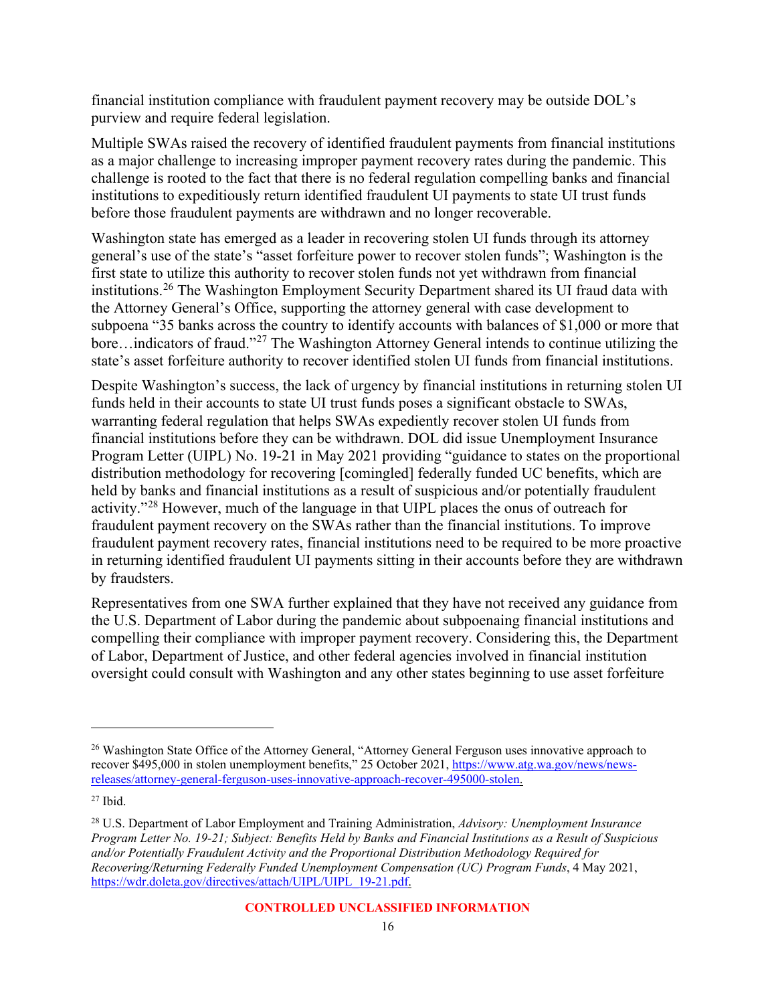financial institution compliance with fraudulent payment recovery may be outside DOL's purview and require federal legislation.

Multiple SWAs raised the recovery of identified fraudulent payments from financial institutions as a major challenge to increasing improper payment recovery rates during the pandemic. This challenge is rooted to the fact that there is no federal regulation compelling banks and financial institutions to expeditiously return identified fraudulent UI payments to state UI trust funds before those fraudulent payments are withdrawn and no longer recoverable.

Washington state has emerged as a leader in recovering stolen UI funds through its attorney general's use of the state's "asset forfeiture power to recover stolen funds"; Washington is the first state to utilize this authority to recover stolen funds not yet withdrawn from financial institutions.[26](#page-22-0) The Washington Employment Security Department shared its UI fraud data with the Attorney General's Office, supporting the attorney general with case development to subpoena "35 banks across the country to identify accounts with balances of \$1,000 or more that bore…indicators of fraud."[27](#page-22-1) The Washington Attorney General intends to continue utilizing the state's asset forfeiture authority to recover identified stolen UI funds from financial institutions.

Despite Washington's success, the lack of urgency by financial institutions in returning stolen UI funds held in their accounts to state UI trust funds poses a significant obstacle to SWAs, warranting federal regulation that helps SWAs expediently recover stolen UI funds from financial institutions before they can be withdrawn. DOL did issue Unemployment Insurance Program Letter (UIPL) No. 19-21 in May 2021 providing "guidance to states on the proportional distribution methodology for recovering [comingled] federally funded UC benefits, which are held by banks and financial institutions as a result of suspicious and/or potentially fraudulent activity."[28](#page-22-2) However, much of the language in that UIPL places the onus of outreach for fraudulent payment recovery on the SWAs rather than the financial institutions. To improve fraudulent payment recovery rates, financial institutions need to be required to be more proactive in returning identified fraudulent UI payments sitting in their accounts before they are withdrawn by fraudsters.

Representatives from one SWA further explained that they have not received any guidance from the U.S. Department of Labor during the pandemic about subpoenaing financial institutions and compelling their compliance with improper payment recovery. Considering this, the Department of Labor, Department of Justice, and other federal agencies involved in financial institution oversight could consult with Washington and any other states beginning to use asset forfeiture

<span id="page-22-0"></span><sup>&</sup>lt;sup>26</sup> Washington State Office of the Attorney General, "Attorney General Ferguson uses innovative approach to recover \$495,000 in stolen unemployment benefits," 25 October 2021, [https://www.atg.wa.gov/news/news](https://www.atg.wa.gov/news/news-releases/attorney-general-ferguson-uses-innovative-approach-recover-495000-stolen)[releases/attorney-general-ferguson-uses-innovative-approach-recover-495000-stolen.](https://www.atg.wa.gov/news/news-releases/attorney-general-ferguson-uses-innovative-approach-recover-495000-stolen)

<span id="page-22-1"></span> $27$  Ibid.

<span id="page-22-2"></span><sup>28</sup> U.S. Department of Labor Employment and Training Administration, *Advisory: Unemployment Insurance Program Letter No. 19-21; Subject: Benefits Held by Banks and Financial Institutions as a Result of Suspicious and/or Potentially Fraudulent Activity and the Proportional Distribution Methodology Required for Recovering/Returning Federally Funded Unemployment Compensation (UC) Program Funds*, 4 May 2021, [https://wdr.doleta.gov/directives/attach/UIPL/UIPL\\_19-21.pdf.](https://wdr.doleta.gov/directives/attach/UIPL/UIPL_19-21.pdf)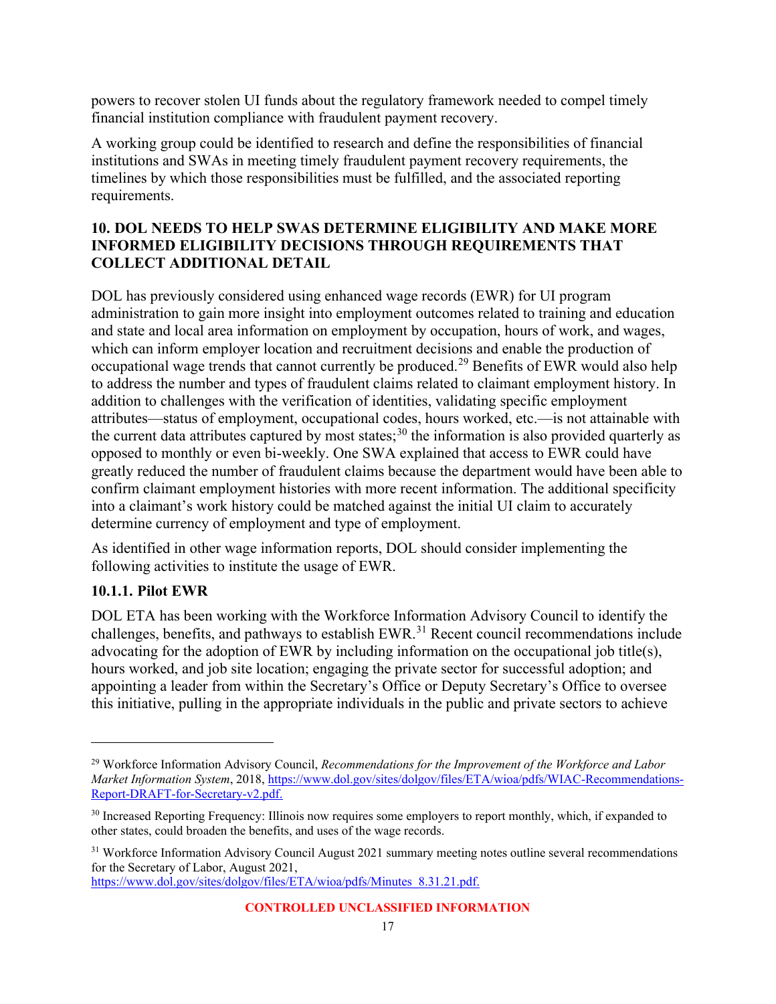powers to recover stolen UI funds about the regulatory framework needed to compel timely financial institution compliance with fraudulent payment recovery.

A working group could be identified to research and define the responsibilities of financial institutions and SWAs in meeting timely fraudulent payment recovery requirements, the timelines by which those responsibilities must be fulfilled, and the associated reporting requirements.

#### <span id="page-23-0"></span>**10. DOL NEEDS TO HELP SWAS DETERMINE ELIGIBILITY AND MAKE MORE INFORMED ELIGIBILITY DECISIONS THROUGH REQUIREMENTS THAT COLLECT ADDITIONAL DETAIL**

DOL has previously considered using enhanced wage records (EWR) for UI program administration to gain more insight into employment outcomes related to training and education and state and local area information on employment by occupation, hours of work, and wages, which can inform employer location and recruitment decisions and enable the production of occupational wage trends that cannot currently be produced.[29](#page-23-1) Benefits of EWR would also help to address the number and types of fraudulent claims related to claimant employment history. In addition to challenges with the verification of identities, validating specific employment attributes—status of employment, occupational codes, hours worked, etc.—is not attainable with the current data attributes captured by most states;<sup>[30](#page-23-2)</sup> the information is also provided quarterly as opposed to monthly or even bi-weekly. One SWA explained that access to EWR could have greatly reduced the number of fraudulent claims because the department would have been able to confirm claimant employment histories with more recent information. The additional specificity into a claimant's work history could be matched against the initial UI claim to accurately determine currency of employment and type of employment.

As identified in other wage information reports, DOL should consider implementing the following activities to institute the usage of EWR.

### **10.1.1. Pilot EWR**

DOL ETA has been working with the Workforce Information Advisory Council to identify the challenges, benefits, and pathways to establish EWR.<sup>[31](#page-23-3)</sup> Recent council recommendations include advocating for the adoption of EWR by including information on the occupational job title(s), hours worked, and job site location; engaging the private sector for successful adoption; and appointing a leader from within the Secretary's Office or Deputy Secretary's Office to oversee this initiative, pulling in the appropriate individuals in the public and private sectors to achieve

[https://www.dol.gov/sites/dolgov/files/ETA/wioa/pdfs/Minutes\\_8.31.21.pdf.](https://www.dol.gov/sites/dolgov/files/ETA/wioa/pdfs/Minutes_8.31.21.pdf)

<span id="page-23-1"></span><sup>29</sup> Workforce Information Advisory Council, *Recommendations for the Improvement of the Workforce and Labor Market Information System*, 2018[, https://www.dol.gov/sites/dolgov/files/ETA/wioa/pdfs/WIAC-Recommendations-](https://www.dol.gov/sites/dolgov/files/ETA/wioa/pdfs/WIAC-Recommendations-Report-DRAFT-for-Secretary-v2.pdf)[Report-DRAFT-for-Secretary-v2.pdf.](https://www.dol.gov/sites/dolgov/files/ETA/wioa/pdfs/WIAC-Recommendations-Report-DRAFT-for-Secretary-v2.pdf)

<span id="page-23-2"></span><sup>&</sup>lt;sup>30</sup> Increased Reporting Frequency: Illinois now requires some employers to report monthly, which, if expanded to other states, could broaden the benefits, and uses of the wage records.

<span id="page-23-3"></span><sup>&</sup>lt;sup>31</sup> Workforce Information Advisory Council August 2021 summary meeting notes outline several recommendations for the Secretary of Labor, August 2021,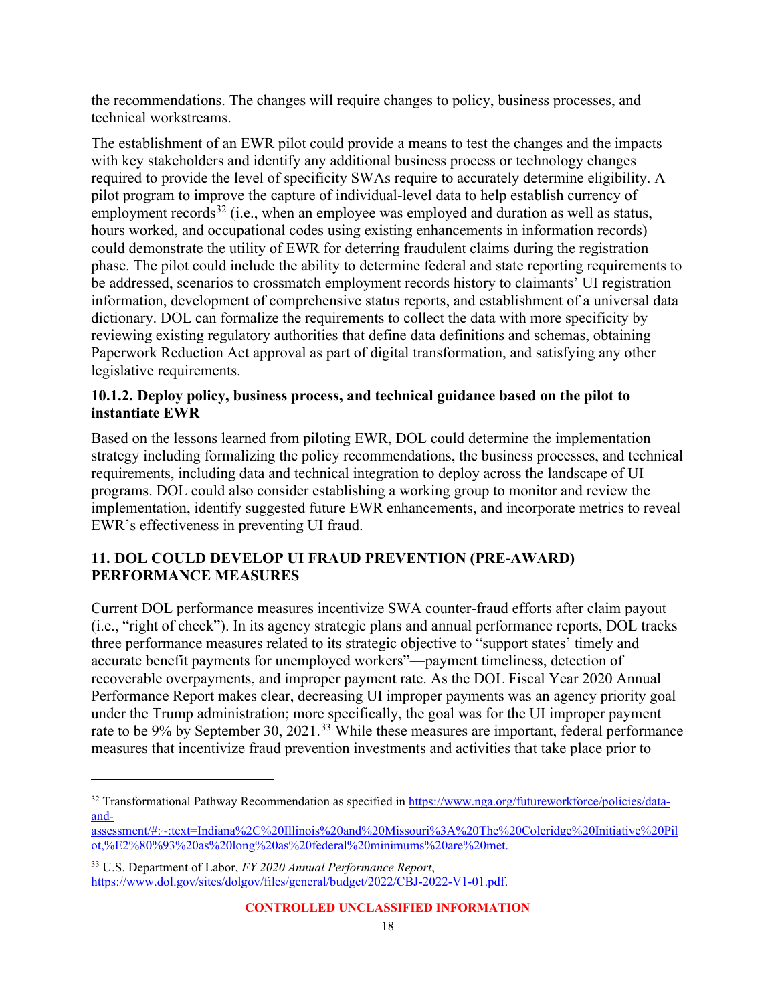the recommendations. The changes will require changes to policy, business processes, and technical workstreams.

The establishment of an EWR pilot could provide a means to test the changes and the impacts with key stakeholders and identify any additional business process or technology changes required to provide the level of specificity SWAs require to accurately determine eligibility. A pilot program to improve the capture of individual-level data to help establish currency of employment records<sup>[32](#page-24-1)</sup> (i.e., when an employee was employed and duration as well as status, hours worked, and occupational codes using existing enhancements in information records) could demonstrate the utility of EWR for deterring fraudulent claims during the registration phase. The pilot could include the ability to determine federal and state reporting requirements to be addressed, scenarios to crossmatch employment records history to claimants' UI registration information, development of comprehensive status reports, and establishment of a universal data dictionary. DOL can formalize the requirements to collect the data with more specificity by reviewing existing regulatory authorities that define data definitions and schemas, obtaining Paperwork Reduction Act approval as part of digital transformation, and satisfying any other legislative requirements.

#### **10.1.2. Deploy policy, business process, and technical guidance based on the pilot to instantiate EWR**

Based on the lessons learned from piloting EWR, DOL could determine the implementation strategy including formalizing the policy recommendations, the business processes, and technical requirements, including data and technical integration to deploy across the landscape of UI programs. DOL could also consider establishing a working group to monitor and review the implementation, identify suggested future EWR enhancements, and incorporate metrics to reveal EWR's effectiveness in preventing UI fraud.

#### <span id="page-24-0"></span>**11. DOL COULD DEVELOP UI FRAUD PREVENTION (PRE-AWARD) PERFORMANCE MEASURES**

Current DOL performance measures incentivize SWA counter-fraud efforts after claim payout (i.e., "right of check"). In its agency strategic plans and annual performance reports, DOL tracks three performance measures related to its strategic objective to "support states' timely and accurate benefit payments for unemployed workers"—payment timeliness, detection of recoverable overpayments, and improper payment rate. As the DOL Fiscal Year 2020 Annual Performance Report makes clear, decreasing UI improper payments was an agency priority goal under the Trump administration; more specifically, the goal was for the UI improper payment rate to be 9% by September 30, 2021.<sup>[33](#page-24-2)</sup> While these measures are important, federal performance measures that incentivize fraud prevention investments and activities that take place prior to

<span id="page-24-1"></span><sup>&</sup>lt;sup>32</sup> Transformational Pathway Recommendation as specified i[n https://www.nga.org/futureworkforce/policies/data](https://www.nga.org/futureworkforce/policies/data-and-assessment/#:%7E:text=Indiana%2C%20Illinois%20and%20Missouri%3A%20The%20Coleridge%20Initiative%20Pilot,%E2%80%93%20as%20long%20as%20federal%20minimums%20are%20met.)[and-](https://www.nga.org/futureworkforce/policies/data-and-assessment/#:%7E:text=Indiana%2C%20Illinois%20and%20Missouri%3A%20The%20Coleridge%20Initiative%20Pilot,%E2%80%93%20as%20long%20as%20federal%20minimums%20are%20met.)

[assessment/#:~:text=Indiana%2C%20Illinois%20and%20Missouri%3A%20The%20Coleridge%20Initiative%20Pil](https://www.nga.org/futureworkforce/policies/data-and-assessment/#:%7E:text=Indiana%2C%20Illinois%20and%20Missouri%3A%20The%20Coleridge%20Initiative%20Pilot,%E2%80%93%20as%20long%20as%20federal%20minimums%20are%20met.) [ot,%E2%80%93%20as%20long%20as%20federal%20minimums%20are%20met.](https://www.nga.org/futureworkforce/policies/data-and-assessment/#:%7E:text=Indiana%2C%20Illinois%20and%20Missouri%3A%20The%20Coleridge%20Initiative%20Pilot,%E2%80%93%20as%20long%20as%20federal%20minimums%20are%20met.)

<span id="page-24-2"></span><sup>33</sup> U.S. Department of Labor, *FY 2020 Annual Performance Report*, [https://www.dol.gov/sites/dolgov/files/general/budget/2022/CBJ-2022-V1-01.pdf.](https://www.dol.gov/sites/dolgov/files/general/budget/2022/CBJ-2022-V1-01.pdf)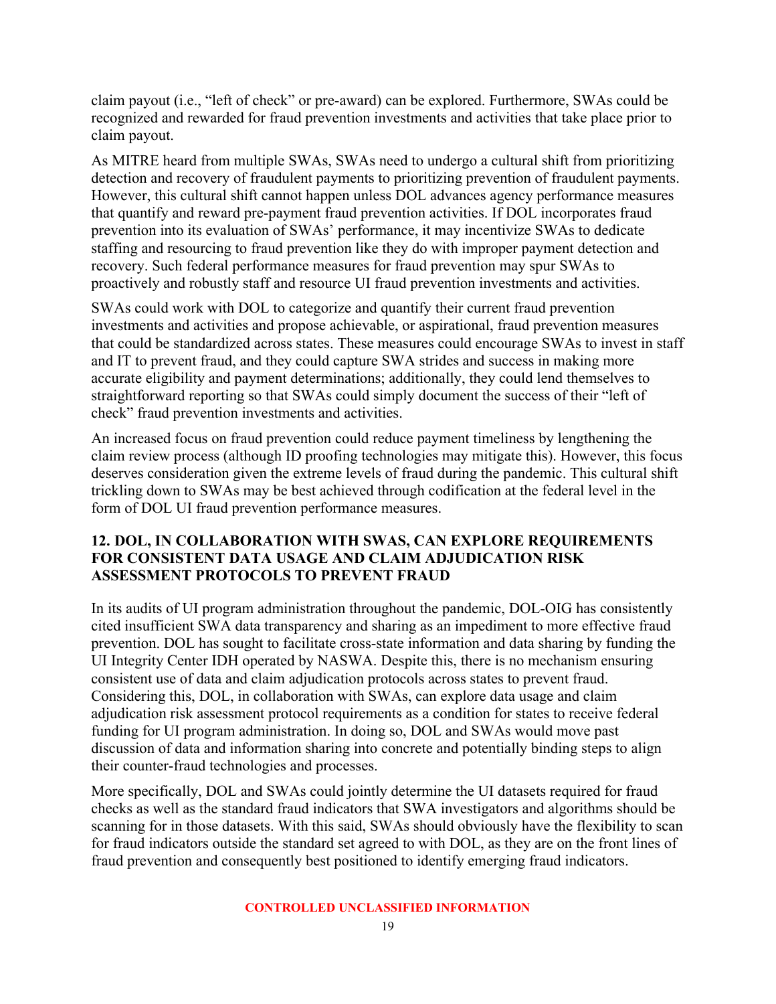claim payout (i.e., "left of check" or pre-award) can be explored. Furthermore, SWAs could be recognized and rewarded for fraud prevention investments and activities that take place prior to claim payout.

As MITRE heard from multiple SWAs, SWAs need to undergo a cultural shift from prioritizing detection and recovery of fraudulent payments to prioritizing prevention of fraudulent payments. However, this cultural shift cannot happen unless DOL advances agency performance measures that quantify and reward pre-payment fraud prevention activities. If DOL incorporates fraud prevention into its evaluation of SWAs' performance, it may incentivize SWAs to dedicate staffing and resourcing to fraud prevention like they do with improper payment detection and recovery. Such federal performance measures for fraud prevention may spur SWAs to proactively and robustly staff and resource UI fraud prevention investments and activities.

SWAs could work with DOL to categorize and quantify their current fraud prevention investments and activities and propose achievable, or aspirational, fraud prevention measures that could be standardized across states. These measures could encourage SWAs to invest in staff and IT to prevent fraud, and they could capture SWA strides and success in making more accurate eligibility and payment determinations; additionally, they could lend themselves to straightforward reporting so that SWAs could simply document the success of their "left of check" fraud prevention investments and activities.

An increased focus on fraud prevention could reduce payment timeliness by lengthening the claim review process (although ID proofing technologies may mitigate this). However, this focus deserves consideration given the extreme levels of fraud during the pandemic. This cultural shift trickling down to SWAs may be best achieved through codification at the federal level in the form of DOL UI fraud prevention performance measures.

#### <span id="page-25-0"></span>**12. DOL, IN COLLABORATION WITH SWAS, CAN EXPLORE REQUIREMENTS FOR CONSISTENT DATA USAGE AND CLAIM ADJUDICATION RISK ASSESSMENT PROTOCOLS TO PREVENT FRAUD**

In its audits of UI program administration throughout the pandemic, DOL-OIG has consistently cited insufficient SWA data transparency and sharing as an impediment to more effective fraud prevention. DOL has sought to facilitate cross-state information and data sharing by funding the UI Integrity Center IDH operated by NASWA. Despite this, there is no mechanism ensuring consistent use of data and claim adjudication protocols across states to prevent fraud. Considering this, DOL, in collaboration with SWAs, can explore data usage and claim adjudication risk assessment protocol requirements as a condition for states to receive federal funding for UI program administration. In doing so, DOL and SWAs would move past discussion of data and information sharing into concrete and potentially binding steps to align their counter-fraud technologies and processes.

More specifically, DOL and SWAs could jointly determine the UI datasets required for fraud checks as well as the standard fraud indicators that SWA investigators and algorithms should be scanning for in those datasets. With this said, SWAs should obviously have the flexibility to scan for fraud indicators outside the standard set agreed to with DOL, as they are on the front lines of fraud prevention and consequently best positioned to identify emerging fraud indicators.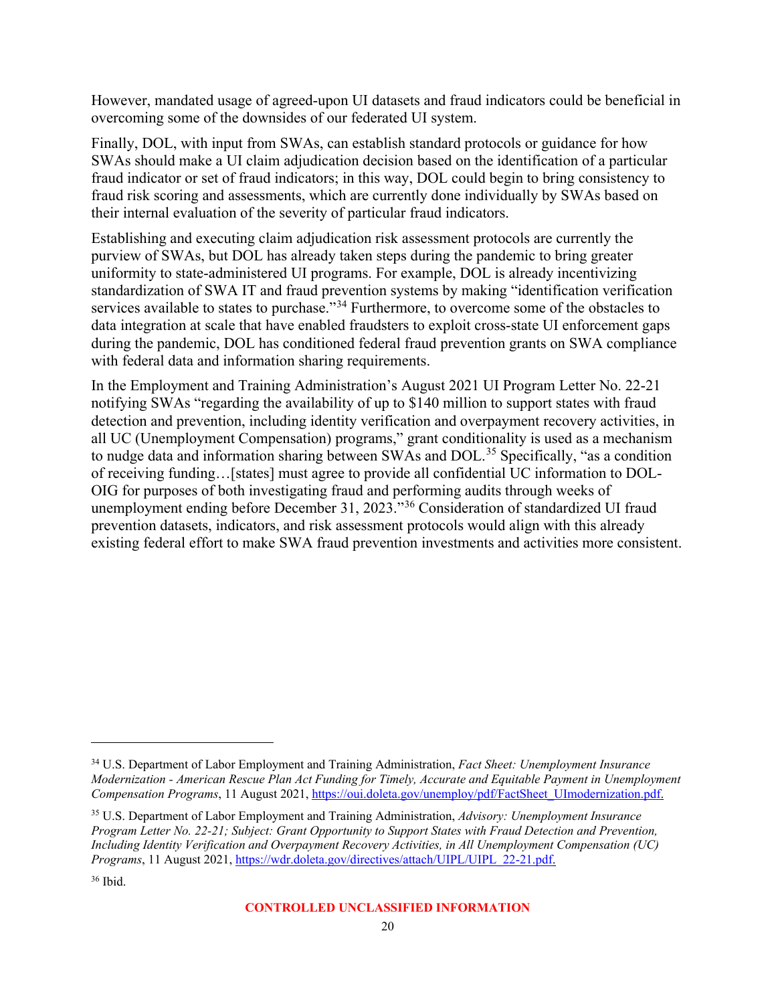However, mandated usage of agreed-upon UI datasets and fraud indicators could be beneficial in overcoming some of the downsides of our federated UI system.

Finally, DOL, with input from SWAs, can establish standard protocols or guidance for how SWAs should make a UI claim adjudication decision based on the identification of a particular fraud indicator or set of fraud indicators; in this way, DOL could begin to bring consistency to fraud risk scoring and assessments, which are currently done individually by SWAs based on their internal evaluation of the severity of particular fraud indicators.

Establishing and executing claim adjudication risk assessment protocols are currently the purview of SWAs, but DOL has already taken steps during the pandemic to bring greater uniformity to state-administered UI programs. For example, DOL is already incentivizing standardization of SWA IT and fraud prevention systems by making "identification verification services available to states to purchase."<sup>[34](#page-26-0)</sup> Furthermore, to overcome some of the obstacles to data integration at scale that have enabled fraudsters to exploit cross-state UI enforcement gaps during the pandemic, DOL has conditioned federal fraud prevention grants on SWA compliance with federal data and information sharing requirements.

In the Employment and Training Administration's August 2021 UI Program Letter No. 22-21 notifying SWAs "regarding the availability of up to \$140 million to support states with fraud detection and prevention, including identity verification and overpayment recovery activities, in all UC (Unemployment Compensation) programs," grant conditionality is used as a mechanism to nudge data and information sharing between SWAs and DOL.<sup>[35](#page-26-1)</sup> Specifically, "as a condition of receiving funding…[states] must agree to provide all confidential UC information to DOL-OIG for purposes of both investigating fraud and performing audits through weeks of unemployment ending before December 31, 2023."[36](#page-26-2) Consideration of standardized UI fraud prevention datasets, indicators, and risk assessment protocols would align with this already existing federal effort to make SWA fraud prevention investments and activities more consistent.

<span id="page-26-0"></span><sup>34</sup> U.S. Department of Labor Employment and Training Administration, *Fact Sheet: Unemployment Insurance Modernization - American Rescue Plan Act Funding for Timely, Accurate and Equitable Payment in Unemployment Compensation Programs*, 11 August 2021, [https://oui.doleta.gov/unemploy/pdf/FactSheet\\_UImodernization.pdf.](https://oui.doleta.gov/unemploy/pdf/FactSheet_UImodernization.pdf)

<span id="page-26-1"></span><sup>35</sup> U.S. Department of Labor Employment and Training Administration, *Advisory: Unemployment Insurance Program Letter No. 22-21; Subject: Grant Opportunity to Support States with Fraud Detection and Prevention, Including Identity Verification and Overpayment Recovery Activities, in All Unemployment Compensation (UC) Programs*, 11 August 2021, [https://wdr.doleta.gov/directives/attach/UIPL/UIPL\\_22-21.pdf.](https://wdr.doleta.gov/directives/attach/UIPL/UIPL_22-21.pdf)

<span id="page-26-2"></span><sup>36</sup> Ibid.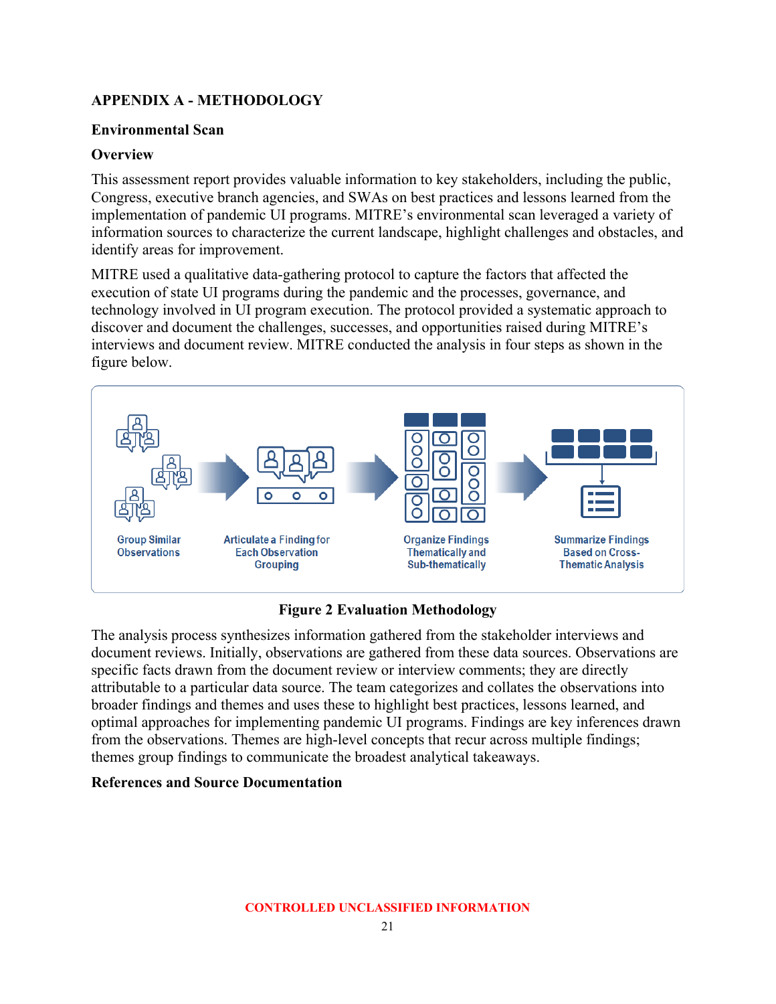## <span id="page-27-0"></span>**APPENDIX A - METHODOLOGY**

#### **Environmental Scan**

#### **Overview**

This assessment report provides valuable information to key stakeholders, including the public, Congress, executive branch agencies, and SWAs on best practices and lessons learned from the implementation of pandemic UI programs. MITRE's environmental scan leveraged a variety of information sources to characterize the current landscape, highlight challenges and obstacles, and identify areas for improvement.

MITRE used a qualitative data-gathering protocol to capture the factors that affected the execution of state UI programs during the pandemic and the processes, governance, and technology involved in UI program execution. The protocol provided a systematic approach to discover and document the challenges, successes, and opportunities raised during MITRE's interviews and document review. MITRE conducted the analysis in four steps as shown in the figure below.



### **Figure 2 Evaluation Methodology**

<span id="page-27-2"></span>The analysis process synthesizes information gathered from the stakeholder interviews and document reviews. Initially, observations are gathered from these data sources. Observations are specific facts drawn from the document review or interview comments; they are directly attributable to a particular data source. The team categorizes and collates the observations into broader findings and themes and uses these to highlight best practices, lessons learned, and optimal approaches for implementing pandemic UI programs. Findings are key inferences drawn from the observations. Themes are high-level concepts that recur across multiple findings; themes group findings to communicate the broadest analytical takeaways.

#### <span id="page-27-1"></span>**References and Source Documentation**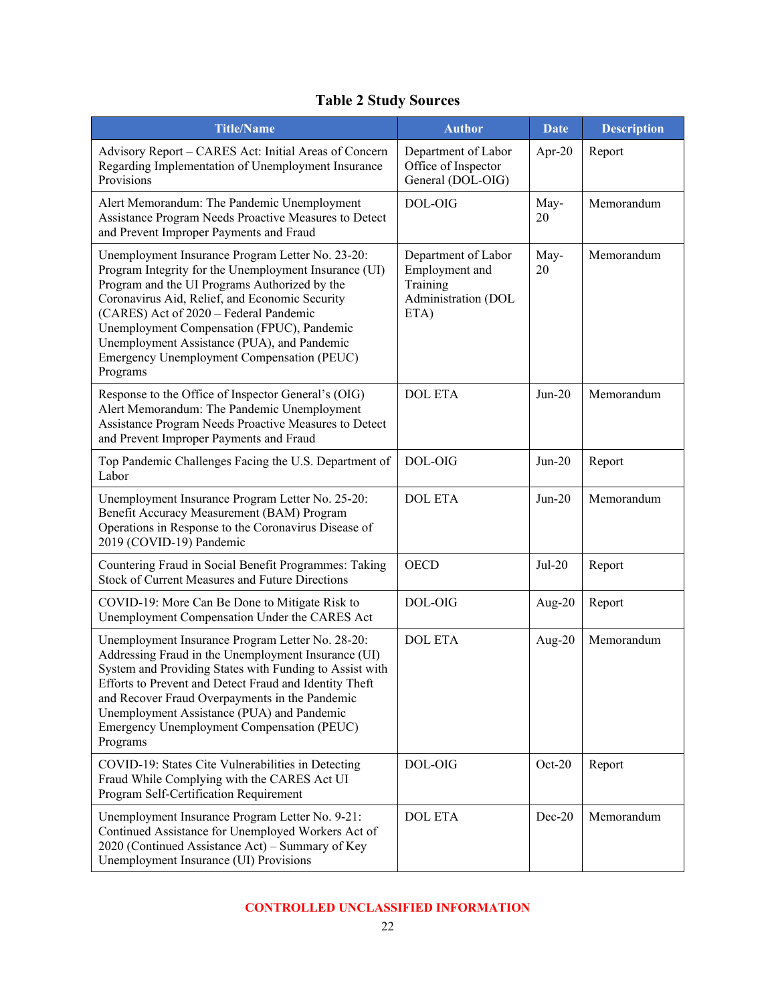# **Table 2 Study Sources**

<span id="page-28-0"></span>

| <b>Title/Name</b>                                                                                                                                                                                                                                                                                                                                                                                             | <b>Author</b>                                                                    | <b>Date</b> | <b>Description</b> |
|---------------------------------------------------------------------------------------------------------------------------------------------------------------------------------------------------------------------------------------------------------------------------------------------------------------------------------------------------------------------------------------------------------------|----------------------------------------------------------------------------------|-------------|--------------------|
| Advisory Report - CARES Act: Initial Areas of Concern<br>Regarding Implementation of Unemployment Insurance<br>Provisions                                                                                                                                                                                                                                                                                     | Department of Labor<br>Office of Inspector<br>General (DOL-OIG)                  | Apr-20      | Report             |
| Alert Memorandum: The Pandemic Unemployment<br>Assistance Program Needs Proactive Measures to Detect<br>and Prevent Improper Payments and Fraud                                                                                                                                                                                                                                                               | DOL-OIG                                                                          | May-<br>20  | Memorandum         |
| Unemployment Insurance Program Letter No. 23-20:<br>Program Integrity for the Unemployment Insurance (UI)<br>Program and the UI Programs Authorized by the<br>Coronavirus Aid, Relief, and Economic Security<br>(CARES) Act of 2020 - Federal Pandemic<br>Unemployment Compensation (FPUC), Pandemic<br>Unemployment Assistance (PUA), and Pandemic<br>Emergency Unemployment Compensation (PEUC)<br>Programs | Department of Labor<br>Employment and<br>Training<br>Administration (DOL<br>ETA) | May-<br>20  | Memorandum         |
| Response to the Office of Inspector General's (OIG)<br>Alert Memorandum: The Pandemic Unemployment<br>Assistance Program Needs Proactive Measures to Detect<br>and Prevent Improper Payments and Fraud                                                                                                                                                                                                        | <b>DOL ETA</b>                                                                   | $Jun-20$    | Memorandum         |
| Top Pandemic Challenges Facing the U.S. Department of<br>Labor                                                                                                                                                                                                                                                                                                                                                | DOL-OIG                                                                          | $Jun-20$    | Report             |
| Unemployment Insurance Program Letter No. 25-20:<br>Benefit Accuracy Measurement (BAM) Program<br>Operations in Response to the Coronavirus Disease of<br>2019 (COVID-19) Pandemic                                                                                                                                                                                                                            | <b>DOL ETA</b>                                                                   | $Jun-20$    | Memorandum         |
| Countering Fraud in Social Benefit Programmes: Taking<br><b>Stock of Current Measures and Future Directions</b>                                                                                                                                                                                                                                                                                               | <b>OECD</b>                                                                      | $Jul-20$    | Report             |
| COVID-19: More Can Be Done to Mitigate Risk to<br>Unemployment Compensation Under the CARES Act                                                                                                                                                                                                                                                                                                               | DOL-OIG                                                                          | Aug- $20$   | Report             |
| Unemployment Insurance Program Letter No. 28-20:<br>Addressing Fraud in the Unemployment Insurance (UI)<br>System and Providing States with Funding to Assist with<br>Efforts to Prevent and Detect Fraud and Identity Theft<br>and Recover Fraud Overpayments in the Pandemic<br>Unemployment Assistance (PUA) and Pandemic<br>Emergency Unemployment Compensation (PEUC)<br>Programs                        | <b>DOL ETA</b>                                                                   | Aug- $20$   | Memorandum         |
| COVID-19: States Cite Vulnerabilities in Detecting<br>Fraud While Complying with the CARES Act UI<br>Program Self-Certification Requirement                                                                                                                                                                                                                                                                   | DOL-OIG                                                                          | $Oct-20$    | Report             |
| Unemployment Insurance Program Letter No. 9-21:<br>Continued Assistance for Unemployed Workers Act of<br>2020 (Continued Assistance Act) - Summary of Key<br>Unemployment Insurance (UI) Provisions                                                                                                                                                                                                           | <b>DOL ETA</b>                                                                   | Dec-20      | Memorandum         |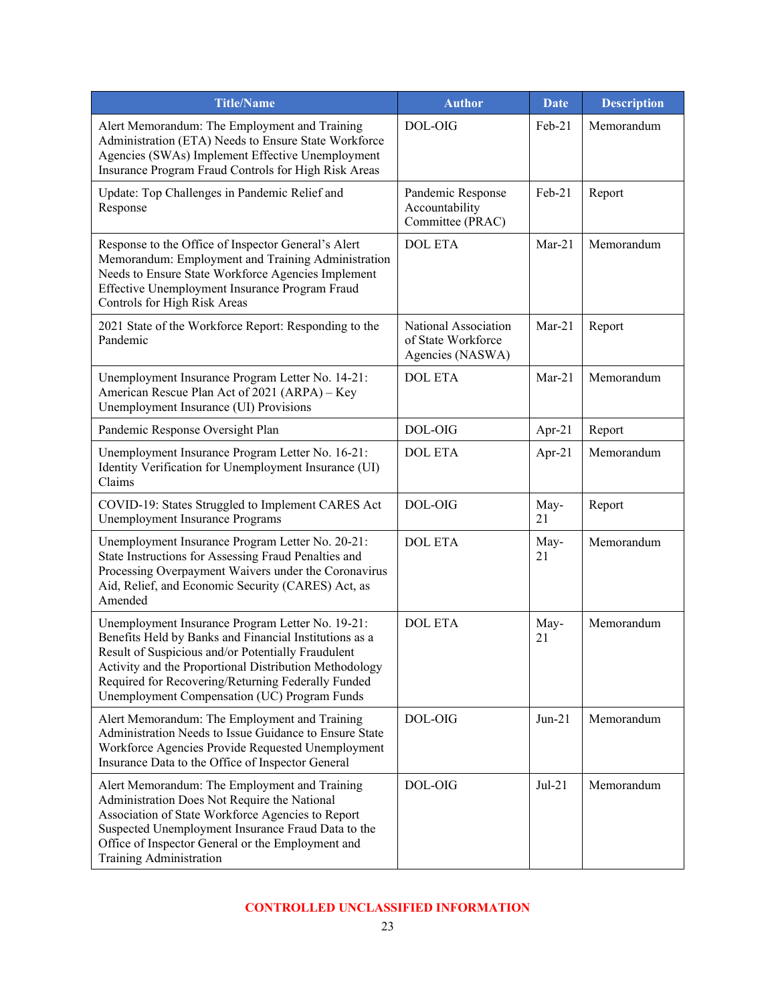| <b>Title/Name</b>                                                                                                                                                                                                                                                                                                                | <b>Author</b>                                                  | <b>Date</b> | <b>Description</b> |
|----------------------------------------------------------------------------------------------------------------------------------------------------------------------------------------------------------------------------------------------------------------------------------------------------------------------------------|----------------------------------------------------------------|-------------|--------------------|
| Alert Memorandum: The Employment and Training<br>Administration (ETA) Needs to Ensure State Workforce<br>Agencies (SWAs) Implement Effective Unemployment<br>Insurance Program Fraud Controls for High Risk Areas                                                                                                                | DOL-OIG                                                        | Feb-21      | Memorandum         |
| Update: Top Challenges in Pandemic Relief and<br>Response                                                                                                                                                                                                                                                                        | Pandemic Response<br>Accountability<br>Committee (PRAC)        | Feb-21      | Report             |
| Response to the Office of Inspector General's Alert<br>Memorandum: Employment and Training Administration<br>Needs to Ensure State Workforce Agencies Implement<br>Effective Unemployment Insurance Program Fraud<br>Controls for High Risk Areas                                                                                | <b>DOL ETA</b>                                                 | $Mar-21$    | Memorandum         |
| 2021 State of the Workforce Report: Responding to the<br>Pandemic                                                                                                                                                                                                                                                                | National Association<br>of State Workforce<br>Agencies (NASWA) | $Mar-21$    | Report             |
| Unemployment Insurance Program Letter No. 14-21:<br>American Rescue Plan Act of 2021 (ARPA) - Key<br>Unemployment Insurance (UI) Provisions                                                                                                                                                                                      | <b>DOL ETA</b>                                                 | $Mar-21$    | Memorandum         |
| Pandemic Response Oversight Plan                                                                                                                                                                                                                                                                                                 | DOL-OIG                                                        | Apr-21      | Report             |
| Unemployment Insurance Program Letter No. 16-21:<br>Identity Verification for Unemployment Insurance (UI)<br>Claims                                                                                                                                                                                                              | <b>DOL ETA</b>                                                 | Apr- $21$   | Memorandum         |
| COVID-19: States Struggled to Implement CARES Act<br>Unemployment Insurance Programs                                                                                                                                                                                                                                             | DOL-OIG                                                        | May-<br>21  | Report             |
| Unemployment Insurance Program Letter No. 20-21:<br>State Instructions for Assessing Fraud Penalties and<br>Processing Overpayment Waivers under the Coronavirus<br>Aid, Relief, and Economic Security (CARES) Act, as<br>Amended                                                                                                | <b>DOL ETA</b>                                                 | May-<br>21  | Memorandum         |
| Unemployment Insurance Program Letter No. 19-21:<br>Benefits Held by Banks and Financial Institutions as a<br>Result of Suspicious and/or Potentially Fraudulent<br>Activity and the Proportional Distribution Methodology<br>Required for Recovering/Returning Federally Funded<br>Unemployment Compensation (UC) Program Funds | <b>DOL ETA</b>                                                 | May-<br>21  | Memorandum         |
| Alert Memorandum: The Employment and Training<br>Administration Needs to Issue Guidance to Ensure State<br>Workforce Agencies Provide Requested Unemployment<br>Insurance Data to the Office of Inspector General                                                                                                                | DOL-OIG                                                        | $Jun-21$    | Memorandum         |
| Alert Memorandum: The Employment and Training<br>Administration Does Not Require the National<br>Association of State Workforce Agencies to Report<br>Suspected Unemployment Insurance Fraud Data to the<br>Office of Inspector General or the Employment and<br>Training Administration                                         | DOL-OIG                                                        | $Jul-21$    | Memorandum         |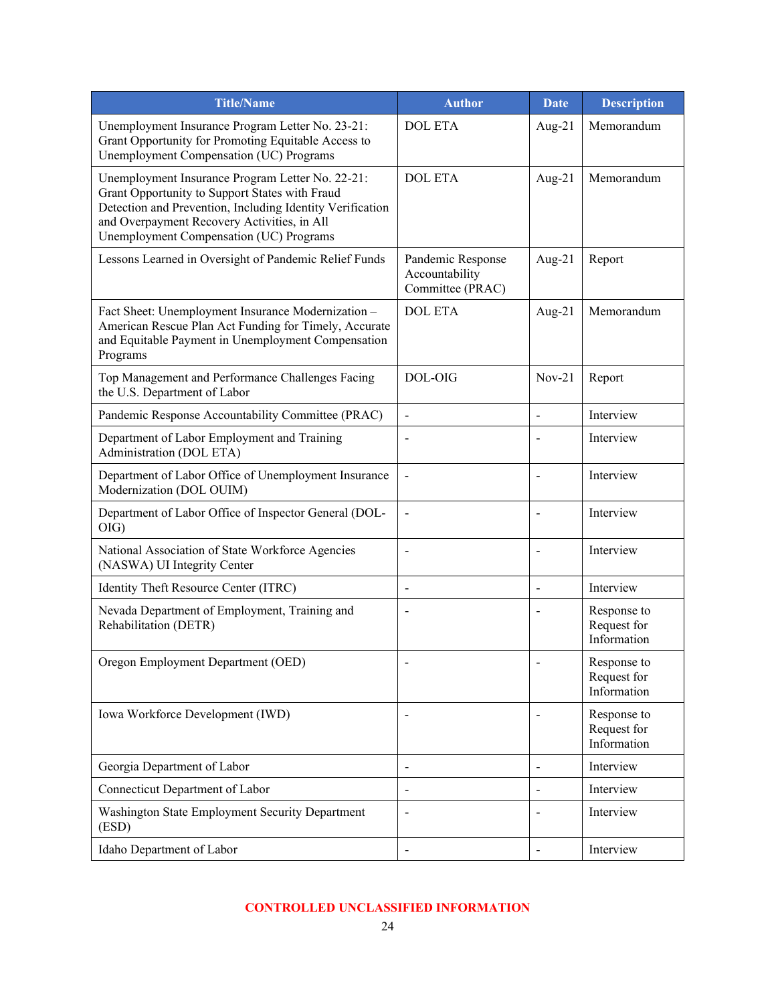| <b>Title/Name</b>                                                                                                                                                                                                                                         | <b>Author</b>                                           | <b>Date</b>                  | <b>Description</b>                        |
|-----------------------------------------------------------------------------------------------------------------------------------------------------------------------------------------------------------------------------------------------------------|---------------------------------------------------------|------------------------------|-------------------------------------------|
| Unemployment Insurance Program Letter No. 23-21:<br>Grant Opportunity for Promoting Equitable Access to<br>Unemployment Compensation (UC) Programs                                                                                                        | <b>DOL ETA</b>                                          | Aug- $21$                    | Memorandum                                |
| Unemployment Insurance Program Letter No. 22-21:<br>Grant Opportunity to Support States with Fraud<br>Detection and Prevention, Including Identity Verification<br>and Overpayment Recovery Activities, in All<br>Unemployment Compensation (UC) Programs | <b>DOL ETA</b>                                          | Aug- $21$                    | Memorandum                                |
| Lessons Learned in Oversight of Pandemic Relief Funds                                                                                                                                                                                                     | Pandemic Response<br>Accountability<br>Committee (PRAC) | Aug- $21$                    | Report                                    |
| Fact Sheet: Unemployment Insurance Modernization -<br>American Rescue Plan Act Funding for Timely, Accurate<br>and Equitable Payment in Unemployment Compensation<br>Programs                                                                             | <b>DOL ETA</b>                                          | Aug- $21$                    | Memorandum                                |
| Top Management and Performance Challenges Facing<br>the U.S. Department of Labor                                                                                                                                                                          | DOL-OIG                                                 | $Nov-21$                     | Report                                    |
| Pandemic Response Accountability Committee (PRAC)                                                                                                                                                                                                         | $\blacksquare$                                          | $\overline{a}$               | Interview                                 |
| Department of Labor Employment and Training<br>Administration (DOL ETA)                                                                                                                                                                                   |                                                         |                              | Interview                                 |
| Department of Labor Office of Unemployment Insurance<br>Modernization (DOL OUIM)                                                                                                                                                                          | $\overline{\phantom{a}}$                                | L,                           | Interview                                 |
| Department of Labor Office of Inspector General (DOL-<br>$OIG$ )                                                                                                                                                                                          | $\overline{a}$                                          |                              | Interview                                 |
| National Association of State Workforce Agencies<br>(NASWA) UI Integrity Center                                                                                                                                                                           | $\overline{\phantom{a}}$                                | $\qquad \qquad \blacksquare$ | Interview                                 |
| Identity Theft Resource Center (ITRC)                                                                                                                                                                                                                     | $\overline{\phantom{a}}$                                | $\overline{a}$               | Interview                                 |
| Nevada Department of Employment, Training and<br>Rehabilitation (DETR)                                                                                                                                                                                    | $\qquad \qquad \blacksquare$                            | $\overline{\phantom{0}}$     | Response to<br>Request for<br>Information |
| Oregon Employment Department (OED)                                                                                                                                                                                                                        |                                                         |                              | Response to<br>Request for<br>Information |
| Iowa Workforce Development (IWD)                                                                                                                                                                                                                          | $\blacksquare$                                          |                              | Response to<br>Request for<br>Information |
| Georgia Department of Labor                                                                                                                                                                                                                               | $\overline{\phantom{a}}$                                | $\overline{\phantom{0}}$     | Interview                                 |
| Connecticut Department of Labor                                                                                                                                                                                                                           | $\blacksquare$                                          | $\qquad \qquad$              | Interview                                 |
| Washington State Employment Security Department<br>(ESD)                                                                                                                                                                                                  | $\overline{\phantom{a}}$                                | $\overline{a}$               | Interview                                 |
| Idaho Department of Labor                                                                                                                                                                                                                                 | $\blacksquare$                                          | $\overline{a}$               | Interview                                 |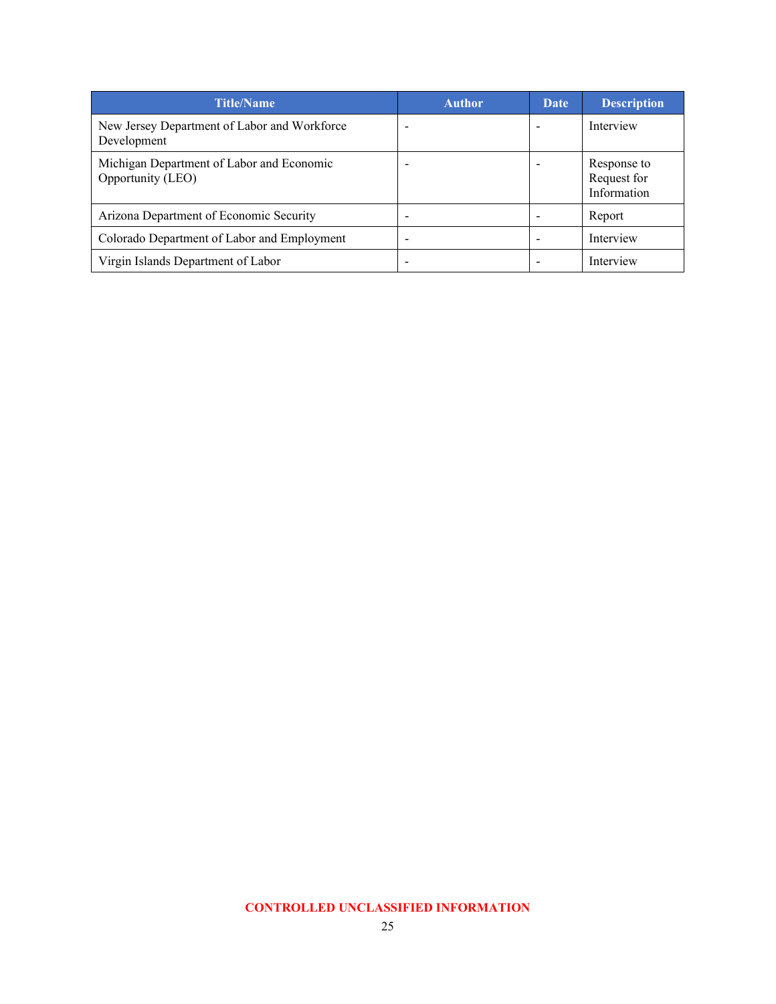| <b>Title/Name</b>                                              | <b>Author</b> | <b>Date</b> | <b>Description</b>                        |
|----------------------------------------------------------------|---------------|-------------|-------------------------------------------|
| New Jersey Department of Labor and Workforce<br>Development    |               |             | Interview                                 |
| Michigan Department of Labor and Economic<br>Opportunity (LEO) |               |             | Response to<br>Request for<br>Information |
| Arizona Department of Economic Security                        |               |             | Report                                    |
| Colorado Department of Labor and Employment                    |               |             | Interview                                 |
| Virgin Islands Department of Labor                             |               |             | Interview                                 |